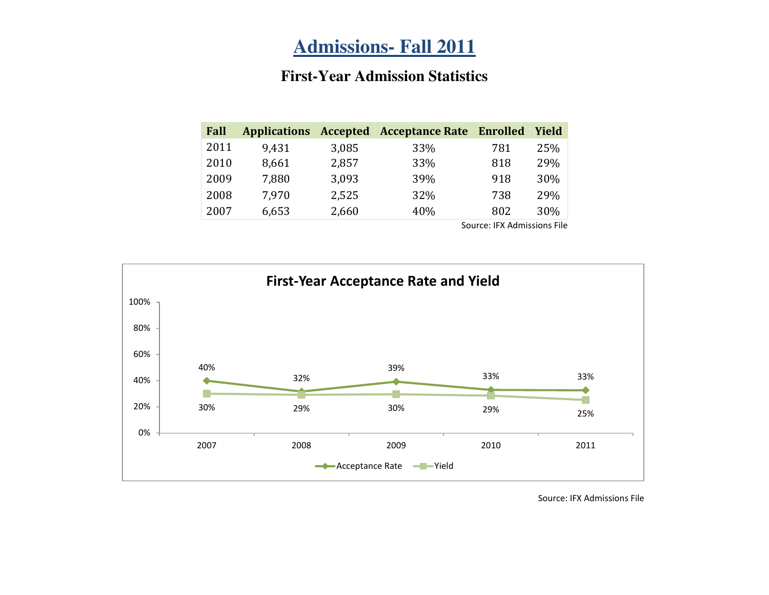# **Admissions- Fall 2011**

#### **First-Year Admission Statistics**

| Fall |       |       | Applications Accepted Acceptance Rate | Enrolled | Yield |
|------|-------|-------|---------------------------------------|----------|-------|
| 2011 | 9,431 | 3,085 | 33%                                   | 781      | 25%   |
| 2010 | 8,661 | 2,857 | 33%                                   | 818      | 29%   |
| 2009 | 7,880 | 3,093 | 39%                                   | 918      | 30%   |
| 2008 | 7,970 | 2,525 | 32%                                   | 738      | 29%   |
| 2007 | 6,653 | 2,660 | 40%                                   | 802      | 30%   |

Source: IFX Admissions File

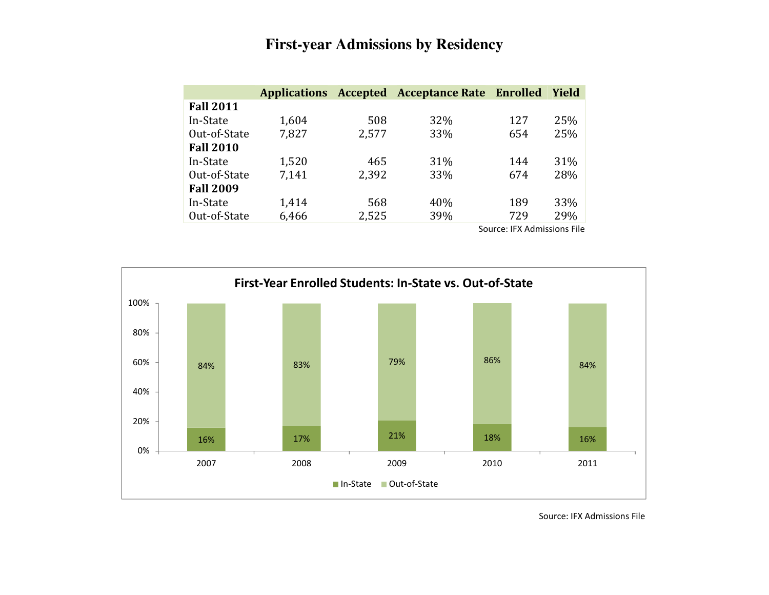## **First-year Admissions by Residency**

|                  | <b>Applications</b> | Accepted | <b>Acceptance Rate Enrolled</b> |     | Yield |
|------------------|---------------------|----------|---------------------------------|-----|-------|
| <b>Fall 2011</b> |                     |          |                                 |     |       |
| In-State         | 1,604               | 508      | 32%                             | 127 | 25%   |
| Out-of-State     | 7,827               | 2,577    | 33%                             | 654 | 25%   |
| <b>Fall 2010</b> |                     |          |                                 |     |       |
| In-State         | 1,520               | 465      | 31%                             | 144 | 31%   |
| Out-of-State     | 7,141               | 2,392    | 33%                             | 674 | 28%   |
| <b>Fall 2009</b> |                     |          |                                 |     |       |
| In-State         | 1,414               | 568      | 40%                             | 189 | 33%   |
| Out-of-State     | 6,466               | 2,525    | 39%                             | 729 | 29%   |

Source: IFX Admissions File

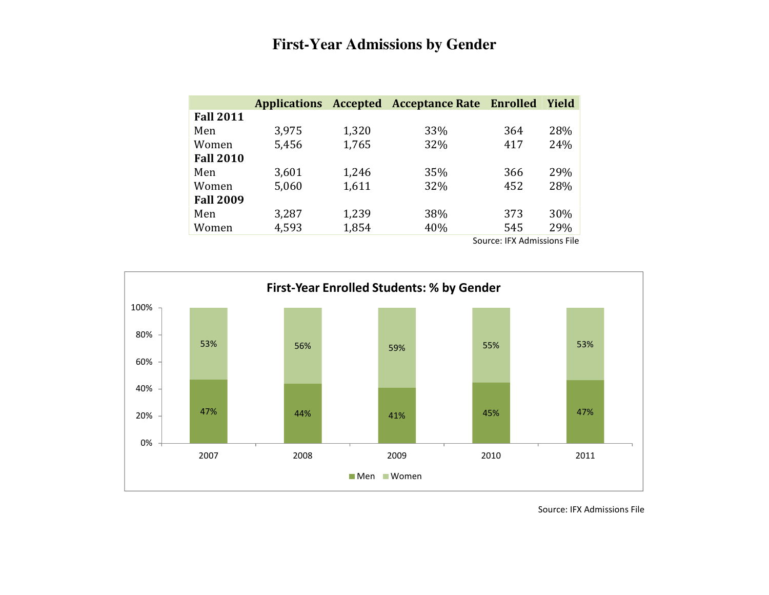#### **First-Year Admissions by Gender**

|                  |       |       | Applications Accepted Acceptance Rate Enrolled |     | <b>Yield</b> |
|------------------|-------|-------|------------------------------------------------|-----|--------------|
| <b>Fall 2011</b> |       |       |                                                |     |              |
| Men              | 3,975 | 1,320 | 33%                                            | 364 | 28%          |
| Women            | 5,456 | 1,765 | 32%                                            | 417 | 24%          |
| <b>Fall 2010</b> |       |       |                                                |     |              |
| Men              | 3,601 | 1,246 | 35%                                            | 366 | 29%          |
| Women            | 5,060 | 1,611 | 32%                                            | 452 | 28%          |
| <b>Fall 2009</b> |       |       |                                                |     |              |
| Men              | 3,287 | 1,239 | 38%                                            | 373 | 30%          |
| Women            | 4,593 | 1,854 | 40%                                            | 545 | 29%          |

Source: IFX Admissions File

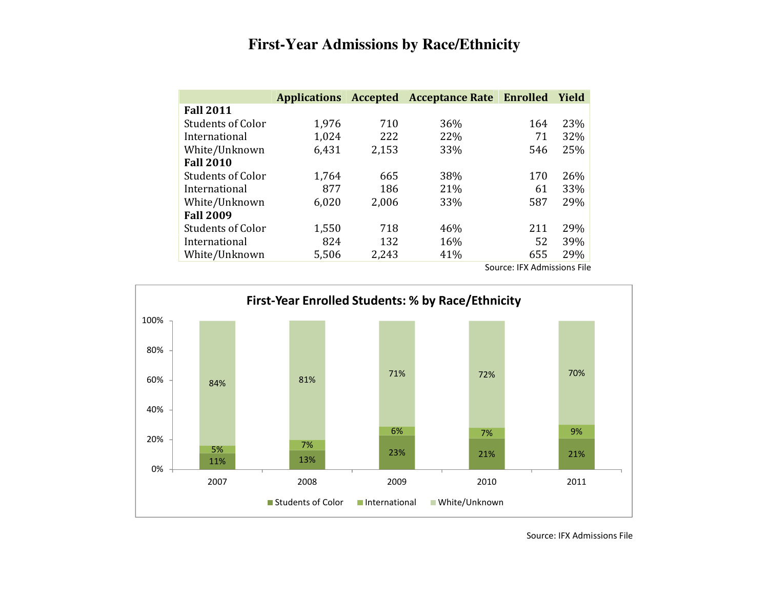### **First-Year Admissions by Race/Ethnicity**

|                          | <b>Applications</b> | Accepted | <b>Acceptance Rate Enrolled</b> |     | Yield |
|--------------------------|---------------------|----------|---------------------------------|-----|-------|
| <b>Fall 2011</b>         |                     |          |                                 |     |       |
| <b>Students of Color</b> | 1,976               | 710      | 36%                             | 164 | 23%   |
| International            | 1,024               | 222      | 22%                             | 71  | 32%   |
| White/Unknown            | 6,431               | 2,153    | 33%                             | 546 | 25%   |
| <b>Fall 2010</b>         |                     |          |                                 |     |       |
| <b>Students of Color</b> | 1,764               | 665      | 38%                             | 170 | 26%   |
| International            | 877                 | 186      | 21%                             | 61  | 33%   |
| White/Unknown            | 6,020               | 2,006    | 33%                             | 587 | 29%   |
| <b>Fall 2009</b>         |                     |          |                                 |     |       |
| <b>Students of Color</b> | 1,550               | 718      | 46%                             | 211 | 29%   |
| International            | 824                 | 132      | 16%                             | 52  | 39%   |
| White/Unknown            | 5,506               | 2,243    | 41%                             | 655 | 29%   |

Source: IFX Admissions File

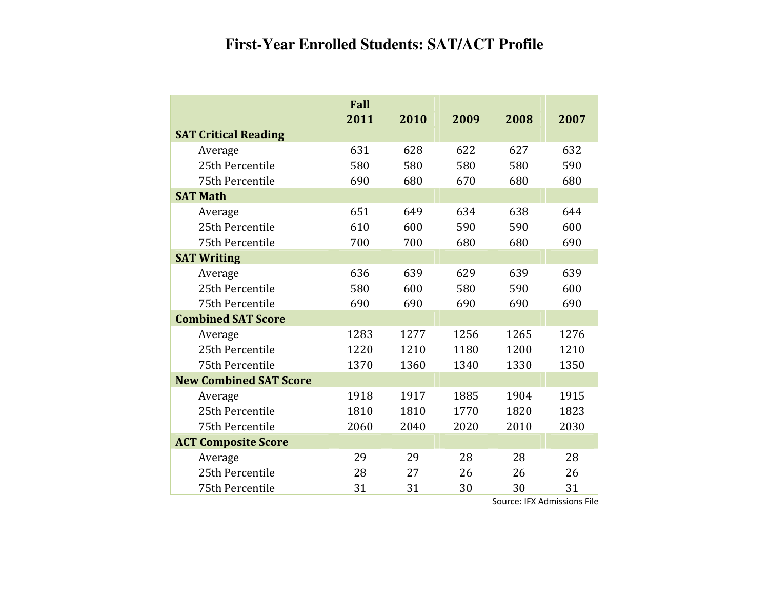# **First-Year Enrolled Students: SAT/ACT Profile**

|                               | Fall |      |      |      |      |
|-------------------------------|------|------|------|------|------|
|                               | 2011 | 2010 | 2009 | 2008 | 2007 |
| <b>SAT Critical Reading</b>   |      |      |      |      |      |
| Average                       | 631  | 628  | 622  | 627  | 632  |
| 25th Percentile               | 580  | 580  | 580  | 580  | 590  |
| 75th Percentile               | 690  | 680  | 670  | 680  | 680  |
| <b>SAT Math</b>               |      |      |      |      |      |
| Average                       | 651  | 649  | 634  | 638  | 644  |
| 25th Percentile               | 610  | 600  | 590  | 590  | 600  |
| 75th Percentile               | 700  | 700  | 680  | 680  | 690  |
| <b>SAT Writing</b>            |      |      |      |      |      |
| Average                       | 636  | 639  | 629  | 639  | 639  |
| 25th Percentile               | 580  | 600  | 580  | 590  | 600  |
| 75th Percentile               | 690  | 690  | 690  | 690  | 690  |
| <b>Combined SAT Score</b>     |      |      |      |      |      |
| Average                       | 1283 | 1277 | 1256 | 1265 | 1276 |
| 25th Percentile               | 1220 | 1210 | 1180 | 1200 | 1210 |
| 75th Percentile               | 1370 | 1360 | 1340 | 1330 | 1350 |
| <b>New Combined SAT Score</b> |      |      |      |      |      |
| Average                       | 1918 | 1917 | 1885 | 1904 | 1915 |
| 25th Percentile               | 1810 | 1810 | 1770 | 1820 | 1823 |
| 75th Percentile               | 2060 | 2040 | 2020 | 2010 | 2030 |
| <b>ACT Composite Score</b>    |      |      |      |      |      |
| Average                       | 29   | 29   | 28   | 28   | 28   |
| 25th Percentile               | 28   | 27   | 26   | 26   | 26   |
| 75th Percentile               | 31   | 31   | 30   | 30   | 31   |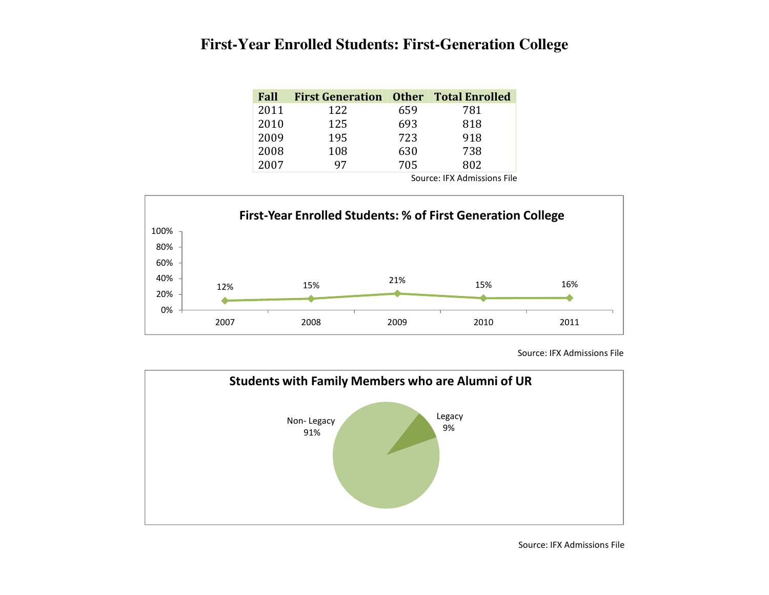### **First-Year Enrolled Students: First-Generation College**

| Fall | <b>First Generation Other Total Enrolled</b> |     |     |
|------|----------------------------------------------|-----|-----|
| 2011 | 122                                          | 659 | 781 |
| 2010 | 125                                          | 693 | 818 |
| 2009 | 195                                          | 723 | 918 |
| 2008 | 108                                          | 630 | 738 |
| 2007 | 97                                           | 705 | 802 |

Source: IFX Admissions File



Source: IFX Admissions File

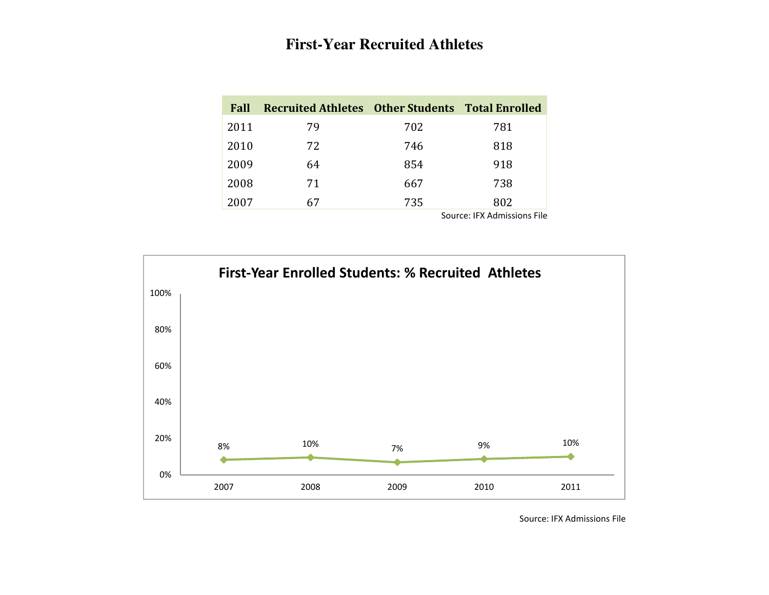## **First-Year Recruited Athletes**

| Fall | Recruited Athletes Other Students Total Enrolled |     |     |
|------|--------------------------------------------------|-----|-----|
| 2011 | 79                                               | 702 | 781 |
| 2010 | 72                                               | 746 | 818 |
| 2009 | 64                                               | 854 | 918 |
| 2008 | 71                                               | 667 | 738 |
| 2007 | 67                                               | 735 | 802 |



Source: IFX Admissions File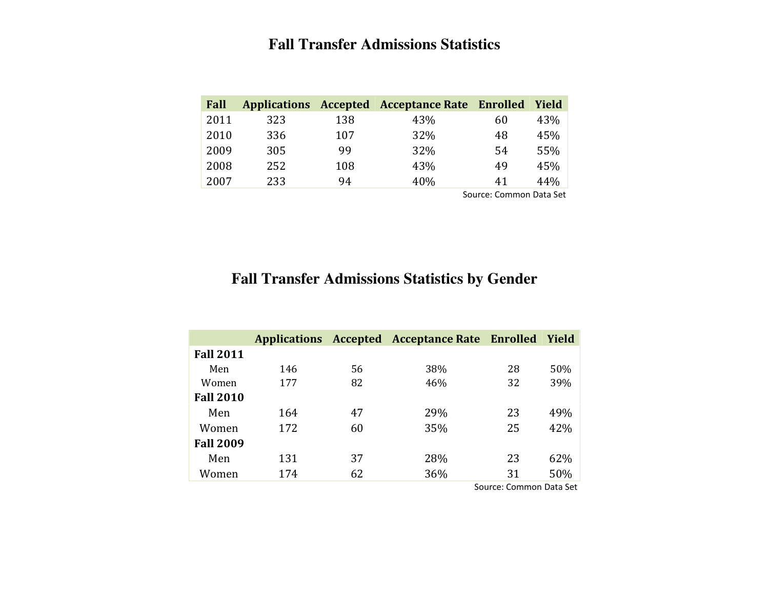# **Fall Transfer Admissions Statistics**

| Fall |     |     | Applications Accepted Acceptance Rate Enrolled |                        | Yield |
|------|-----|-----|------------------------------------------------|------------------------|-------|
| 2011 | 323 | 138 | 43%                                            | 60                     | 43%   |
| 2010 | 336 | 107 | 32%                                            | 48                     | 45%   |
| 2009 | 305 | 99  | 32%                                            | 54                     | 55%   |
| 2008 | 252 | 108 | 43%                                            | 49                     | 45%   |
| 2007 | 233 | 94  | 40%                                            | 41                     | 44%   |
|      |     |     |                                                | Course Common Dots Cot |       |

Source: Common Data Set

#### **Fall Transfer Admissions Statistics by Gender**

|                  |     |    | Applications Accepted Acceptance Rate Enrolled |    | Yield |
|------------------|-----|----|------------------------------------------------|----|-------|
| <b>Fall 2011</b> |     |    |                                                |    |       |
| Men              | 146 | 56 | 38%                                            | 28 | 50%   |
| Women            | 177 | 82 | 46%                                            | 32 | 39%   |
| <b>Fall 2010</b> |     |    |                                                |    |       |
| Men              | 164 | 47 | 29%                                            | 23 | 49%   |
| Women            | 172 | 60 | 35%                                            | 25 | 42%   |
| <b>Fall 2009</b> |     |    |                                                |    |       |
| Men              | 131 | 37 | 28%                                            | 23 | 62%   |
| Women            | 174 | 62 | 36%                                            | 31 | 50%   |

**Source: Common Data Set**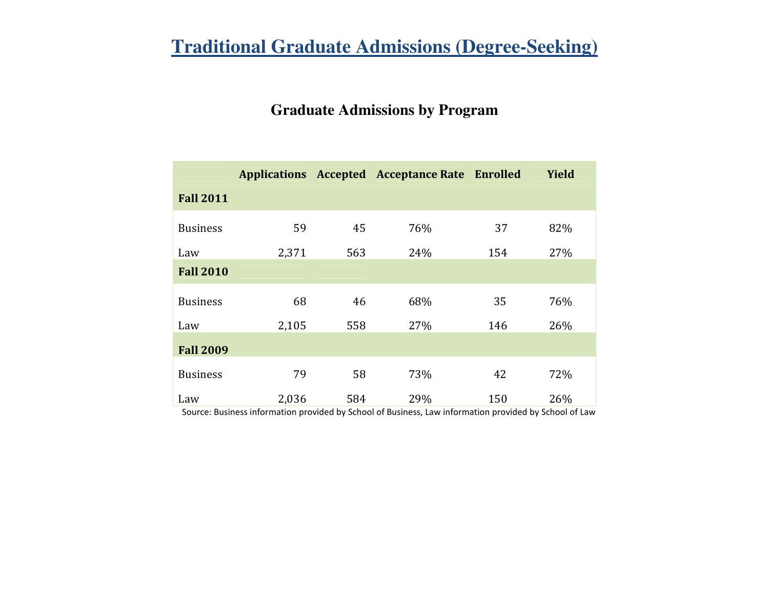# **Traditional Graduate Admissions (Degree-Seeking)**

### **Graduate Admissions by Program**

|                  |       |     | <b>Applications Accepted Acceptance Rate Enrolled</b> |     | <b>Yield</b> |
|------------------|-------|-----|-------------------------------------------------------|-----|--------------|
| <b>Fall 2011</b> |       |     |                                                       |     |              |
| <b>Business</b>  | 59    | 45  | 76%                                                   | 37  | 82%          |
| Law              | 2,371 | 563 | 24%                                                   | 154 | 27%          |
| <b>Fall 2010</b> |       |     |                                                       |     |              |
| <b>Business</b>  | 68    | 46  | 68%                                                   | 35  | 76%          |
| Law              | 2,105 | 558 | 27%                                                   | 146 | 26%          |
| <b>Fall 2009</b> |       |     |                                                       |     |              |
| <b>Business</b>  | 79    | 58  | 73%                                                   | 42  | 72%          |
| Law              | 2,036 | 584 | 29%                                                   | 150 | 26%          |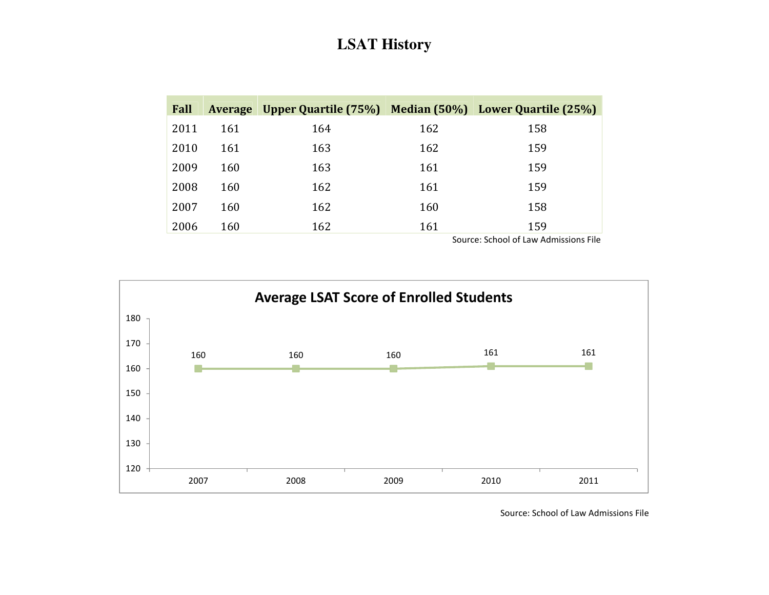### **LSAT History**

| Fall |     | Average Upper Quartile (75%) Median (50%) Lower Quartile (25%) |     |                                                  |
|------|-----|----------------------------------------------------------------|-----|--------------------------------------------------|
| 2011 | 161 | 164                                                            | 162 | 158                                              |
| 2010 | 161 | 163                                                            | 162 | 159                                              |
| 2009 | 160 | 163                                                            | 161 | 159                                              |
| 2008 | 160 | 162                                                            | 161 | 159                                              |
| 2007 | 160 | 162                                                            | 160 | 158                                              |
| 2006 | 160 | 162                                                            | 161 | 159<br>Courses Calcoal of Louis Advertising File |

Source: School of Law Admissions File



Source: School of Law Admissions File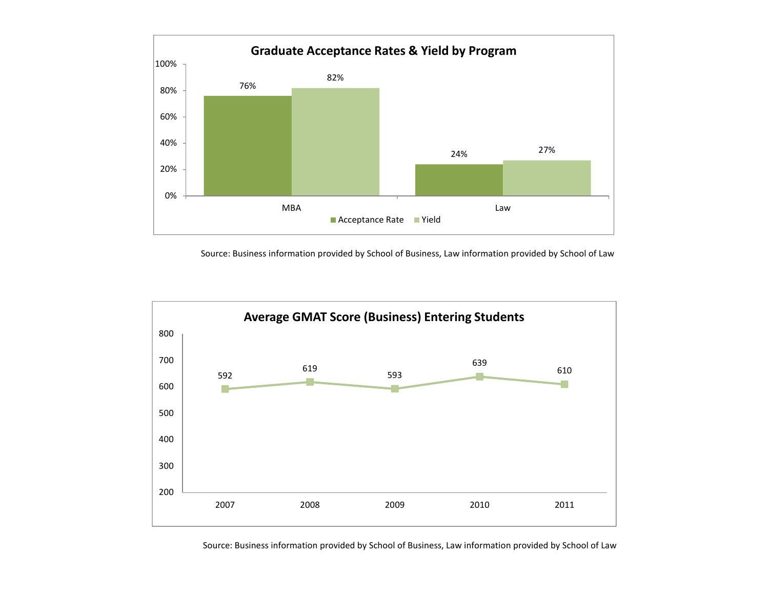

Source: Business information provided by School of Business, Law information provided by School of Law



Source: Business information provided by School of Business, Law information provided by School of Law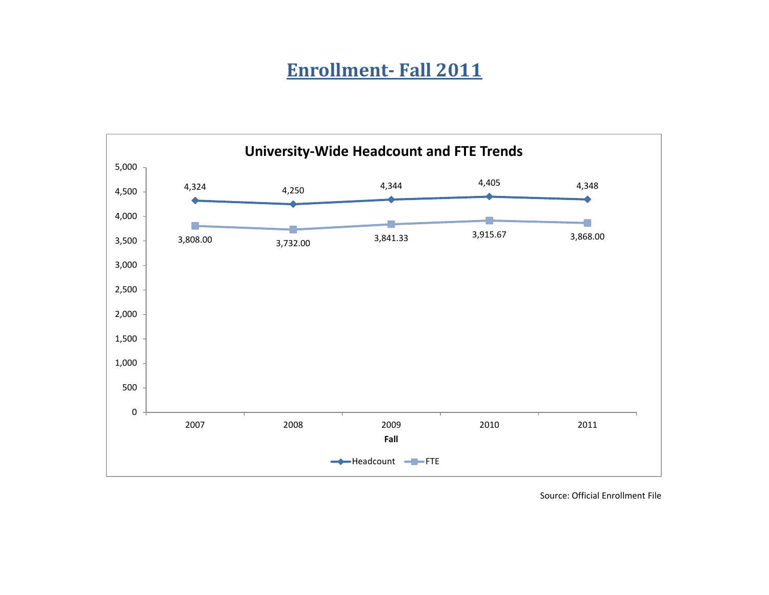# Enrollment- Fall 2011

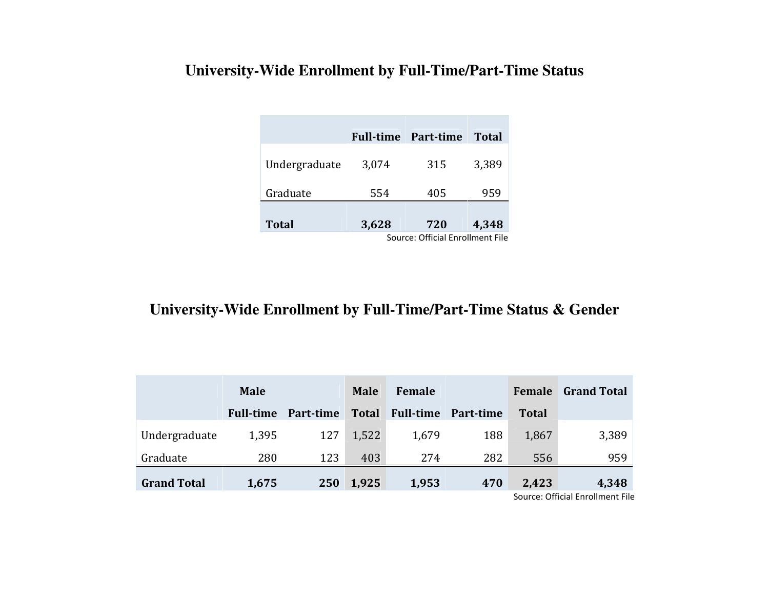# **University-Wide Enrollment by Full-Time/Part-Time Status**

|               |                                  | <b>Full-time Part-time</b> | <b>Total</b> |  |  |
|---------------|----------------------------------|----------------------------|--------------|--|--|
| Undergraduate | 3,074                            | 315                        | 3,389        |  |  |
| Graduate      | 554                              | 405                        | 959          |  |  |
| <b>Total</b>  | 3,628                            | 720                        | 4,348        |  |  |
|               | Source: Official Enrollment File |                            |              |  |  |

## **University-Wide Enrollment by Full-Time/Part-Time Status & Gender**

|                    | <b>Male</b>      |           | <b>Male</b>  | Female           |           | <b>Female</b> | <b>Grand Total</b>              |
|--------------------|------------------|-----------|--------------|------------------|-----------|---------------|---------------------------------|
|                    | <b>Full-time</b> | Part-time | <b>Total</b> | <b>Full-time</b> | Part-time | <b>Total</b>  |                                 |
| Undergraduate      | 1,395            | 127       | 1,522        | 1,679            | 188       | 1,867         | 3,389                           |
| Graduate           | 280              | 123       | 403          | 274              | 282       | 556           | 959                             |
| <b>Grand Total</b> | 1,675            | 250       | 1,925        | 1,953            | 470       | 2,423         | 4,348                           |
|                    |                  |           |              |                  |           |               | Source: Official Enrollment Fil |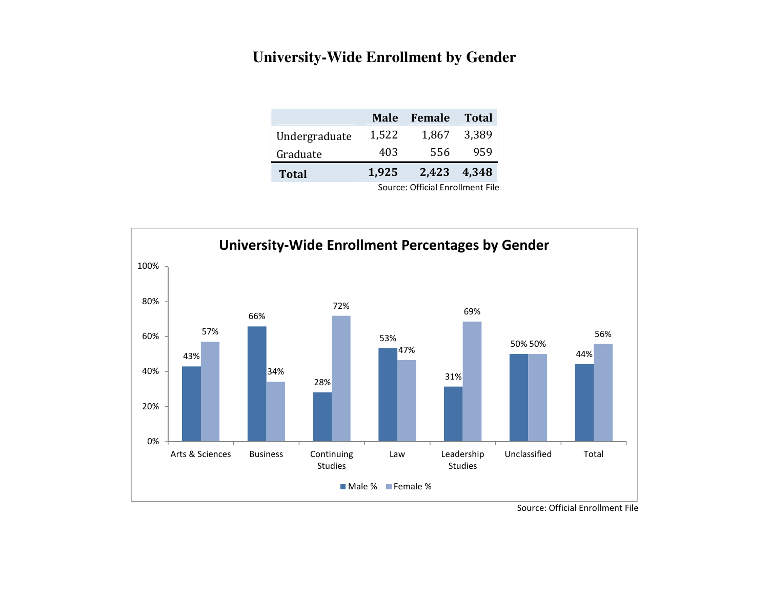## **University-Wide Enrollment by Gender**

|               | Male                             | Female      | <b>Total</b> |  |  |
|---------------|----------------------------------|-------------|--------------|--|--|
| Undergraduate | 1,522                            | 1,867       | 3,389        |  |  |
| Graduate      | 403                              | 556         | 959          |  |  |
| <b>Total</b>  | 1,925                            | 2,423 4,348 |              |  |  |
|               | Source: Official Enrollment File |             |              |  |  |

<sup>43%</sup>66%28%53%31%50%50%44%57%34%72%47%69%56%0%20%40%60%80%100%Arts & Sciences Business Continuing StudiesLaw LeadershipStudiesUnclassified Total University-Wide Enrollment Percentages by GenderMale % Female %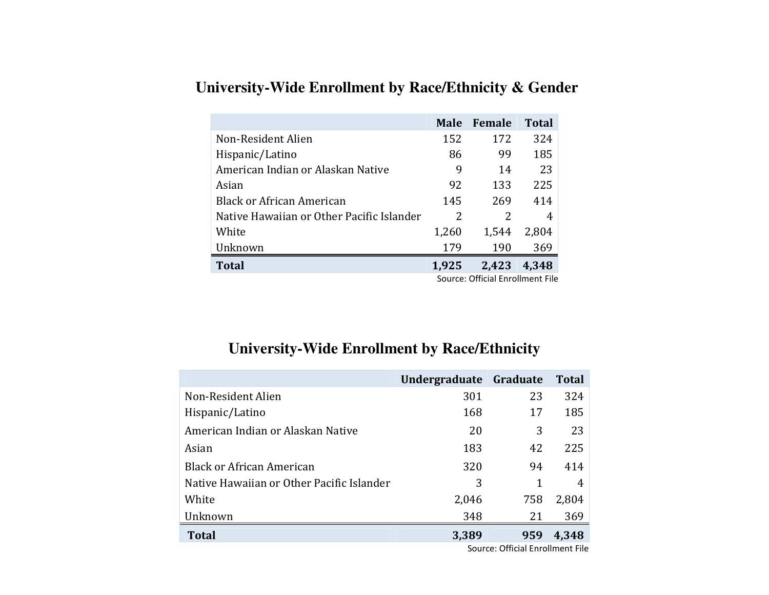|                                           | <b>Male</b> | Female                           | <b>Total</b>    |
|-------------------------------------------|-------------|----------------------------------|-----------------|
| Non-Resident Alien                        | 152         | 172                              | 324             |
| Hispanic/Latino                           | 86          | 99                               | 185             |
| American Indian or Alaskan Native         | 9           | 14                               | 23 <sup>1</sup> |
| Asian                                     | 92          | 133                              | 225             |
| <b>Black or African American</b>          | 145         | 269                              | 414             |
| Native Hawaiian or Other Pacific Islander | 2           | 2                                |                 |
| White                                     | 1,260       | 1,544                            | 2,804           |
| Unknown                                   | 179         | 190                              | 369             |
| <b>Total</b>                              | 1,925       | 2,423                            | 4,348           |
|                                           |             | Source: Official Enrollment File |                 |

## **University-Wide Enrollment by Race/Ethnicity & Gender**

## **University-Wide Enrollment by Race/Ethnicity**

|                                           | Undergraduate | Graduate | <b>Total</b> |
|-------------------------------------------|---------------|----------|--------------|
| Non-Resident Alien                        | 301           | 23       | 324          |
| Hispanic/Latino                           | 168           | 17       | 185          |
| American Indian or Alaskan Native         | 20            | 3        | 23           |
| Asian                                     | 183           | 42       | 225          |
| <b>Black or African American</b>          | 320           | 94       | 414          |
| Native Hawaiian or Other Pacific Islander | 3             |          | 4            |
| White                                     | 2,046         | 758      | 2,804        |
| Unknown                                   | 348           | 21       | 369          |
| <b>Total</b>                              | 3,389         | 959      | 4,348        |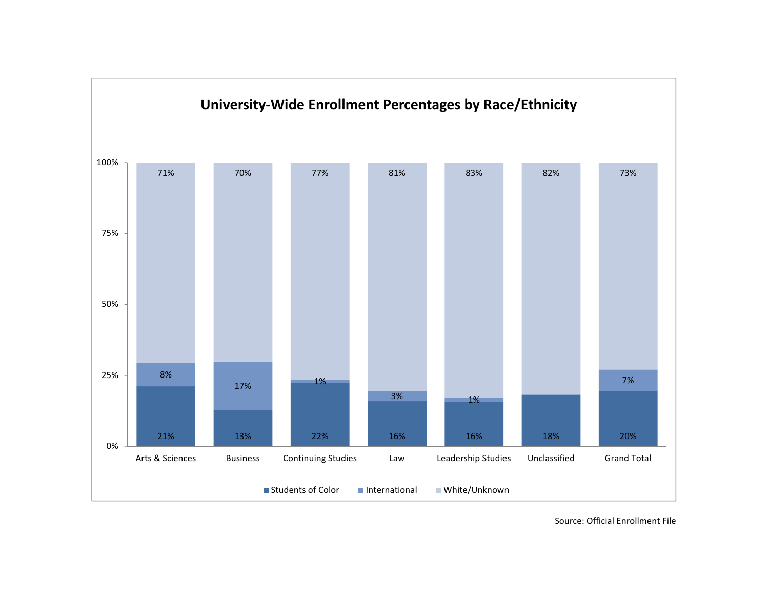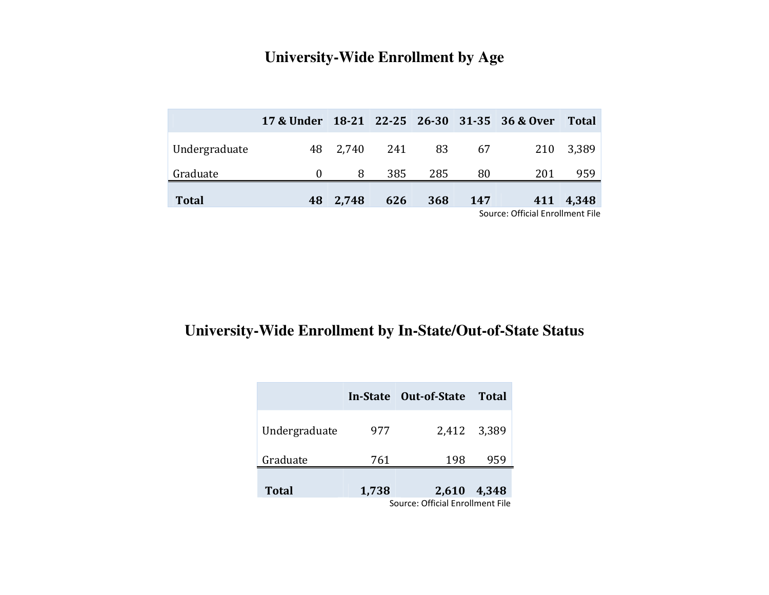| <b>University-Wide Enrollment by Age</b> |  |  |  |  |  |
|------------------------------------------|--|--|--|--|--|
|------------------------------------------|--|--|--|--|--|

|               | 17 & Under 18-21 22-25 26-30 31-35 36 & Over |          |     |            |     |                                 | <b>Total</b> |
|---------------|----------------------------------------------|----------|-----|------------|-----|---------------------------------|--------------|
| Undergraduate |                                              |          |     |            |     | 48 2,740 241 83 67 210 3,389    |              |
| Graduate      |                                              | 8        |     | 385 285    | -80 | 201                             | 959          |
| <b>Total</b>  |                                              | 48 2,748 | 626 | <b>368</b> | 147 |                                 | 411 4,348    |
|               |                                              |          |     |            |     | Course Official Enrallment File |              |

Source: Official Enrollment File

#### **University-Wide Enrollment by In-State/Out-of-State Status**

|                                  |       | In-State Out-of-State | <b>Total</b> |  |  |
|----------------------------------|-------|-----------------------|--------------|--|--|
| Undergraduate                    | 977   |                       | 2,412 3,389  |  |  |
| Graduate                         | 761   | 198                   | 959          |  |  |
| <b>Total</b>                     | 1,738 | 2,610                 | 4,348        |  |  |
| Source: Official Enrollment File |       |                       |              |  |  |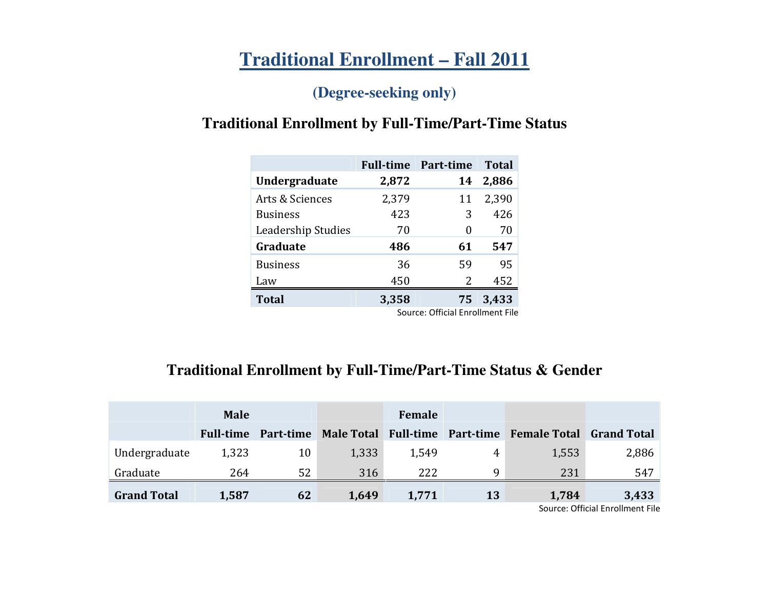# **Traditional Enrollment – Fall 2011**

## **(Degree-seeking only)**

# **Traditional Enrollment by Full-Time/Part-Time Status**

|                    | <b>Full-time</b> | Part-time                        | <b>Total</b> |
|--------------------|------------------|----------------------------------|--------------|
| Undergraduate      | 2,872            | 14                               | 2,886        |
| Arts & Sciences    | 2,379            | 11                               | 2,390        |
| <b>Business</b>    | 423              | 3                                | 426          |
| Leadership Studies | 70               | 0                                | 70           |
| Graduate           | 486              | 61                               | 547          |
| <b>Business</b>    | 36               | 59                               | 95           |
| Law                | 450              | 2                                | 452          |
| <b>Total</b>       | 3,358            |                                  | 75 3,433     |
|                    |                  | Source: Official Enrollment File |              |

## **Traditional Enrollment by Full-Time/Part-Time Status & Gender**

|                    | <b>Male</b>      |           | Female                         |       |           |                     |                    |
|--------------------|------------------|-----------|--------------------------------|-------|-----------|---------------------|--------------------|
|                    | <b>Full-time</b> | Part-time | Male Total Full-time Part-time |       |           | <b>Female Total</b> | <b>Grand Total</b> |
| Undergraduate      | 1,323            | 10        | 1,333                          | 1,549 | 4         | 1,553               | 2,886              |
| Graduate           | 264              | 52        | 316                            | 222   | a         | 231                 | 547                |
| <b>Grand Total</b> | 1,587            | 62        | 1,649                          | 1,771 | <b>13</b> | 1,784               | 3,433<br>$  -$     |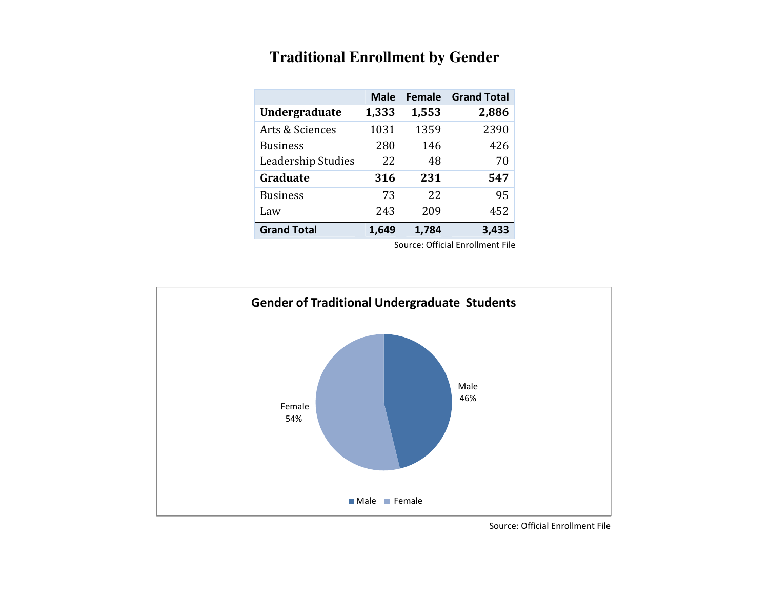|                      | <b>Male</b> | <b>Female</b> | <b>Grand Total</b> |
|----------------------|-------------|---------------|--------------------|
| <b>Undergraduate</b> | 1,333       | 1,553         | 2,886              |
| Arts & Sciences      | 1031        | 1359          | 2390               |
| <b>Business</b>      | 280         | 146           | 426                |
| Leadership Studies   | 22          | 48            | 70                 |
| Graduate             | 316         | 231           | 547                |
| <b>Business</b>      | 73          | 22            | 95                 |
| Law                  | 243         | 209           | 452                |
| <b>Grand Total</b>   | 1,649       | 1,784         | 3,433              |

### **Traditional Enrollment by Gender**

Source: Official Enrollment File

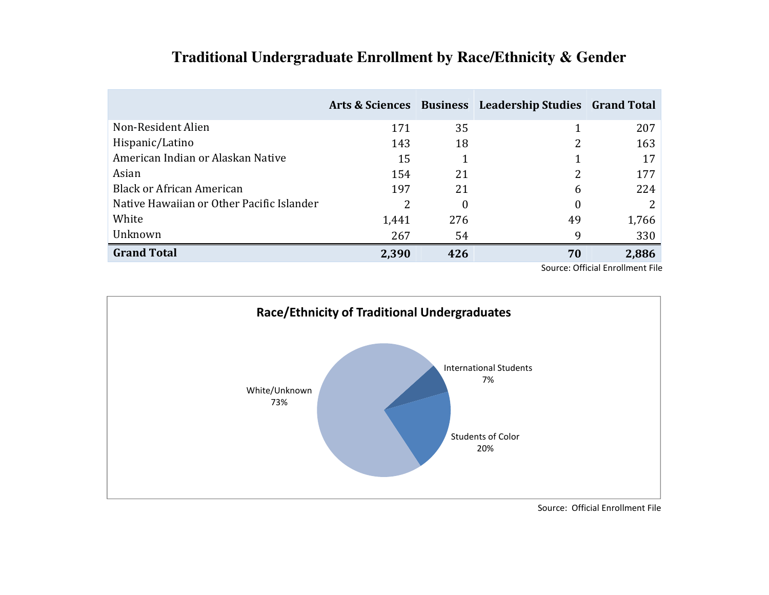|                                           |       |     | Arts & Sciences Business Leadership Studies Grand Total |       |
|-------------------------------------------|-------|-----|---------------------------------------------------------|-------|
| Non-Resident Alien                        | 171   | 35  |                                                         | 207   |
| Hispanic/Latino                           | 143   | 18  | 2                                                       | 163   |
| American Indian or Alaskan Native         | 15    |     |                                                         | 17    |
| Asian                                     | 154   | 21  |                                                         | 177   |
| <b>Black or African American</b>          | 197   | 21  | 6                                                       | 224   |
| Native Hawaiian or Other Pacific Islander | 2     | 0   | 0                                                       |       |
| White                                     | 1,441 | 276 | 49                                                      | 1,766 |
| Unknown                                   | 267   | 54  | 9                                                       | 330   |
| <b>Grand Total</b>                        | 2,390 | 426 | 70                                                      | 2,886 |

# **Traditional Undergraduate Enrollment by Race/Ethnicity & Gender**

Source: Official Enrollment File

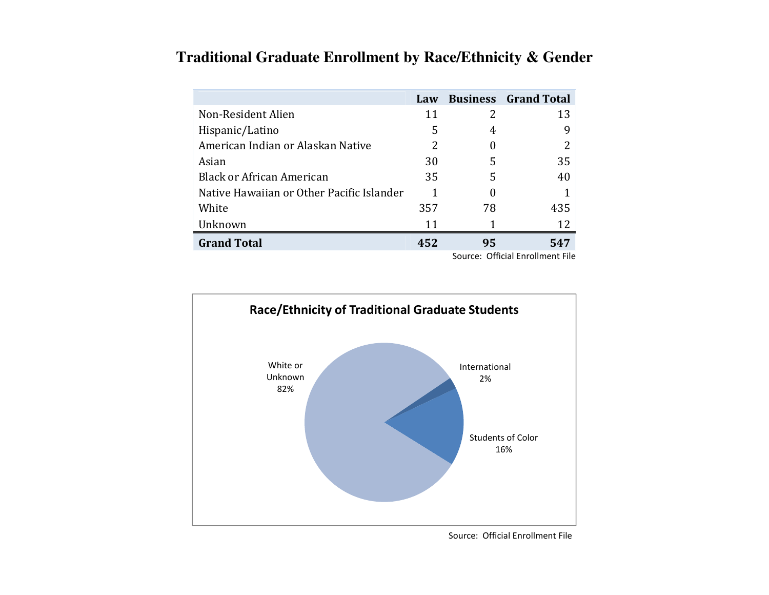### **Traditional Graduate Enrollment by Race/Ethnicity & Gender**

|                                           | Law |    | <b>Business</b> Grand Total |
|-------------------------------------------|-----|----|-----------------------------|
| Non-Resident Alien                        | 11  | 2  | 13                          |
| Hispanic/Latino                           | 5   | 4  | 9                           |
| American Indian or Alaskan Native         | 2   |    |                             |
| Asian                                     | 30  | 5  | 35                          |
| <b>Black or African American</b>          | 35  | 5  | 40                          |
| Native Hawaiian or Other Pacific Islander |     | 0  |                             |
| White                                     | 357 | 78 | 435                         |
| Unknown                                   | 11  |    | 12                          |
| <b>Grand Total</b>                        | 452 | 95 | 547                         |

Source: Official Enrollment File

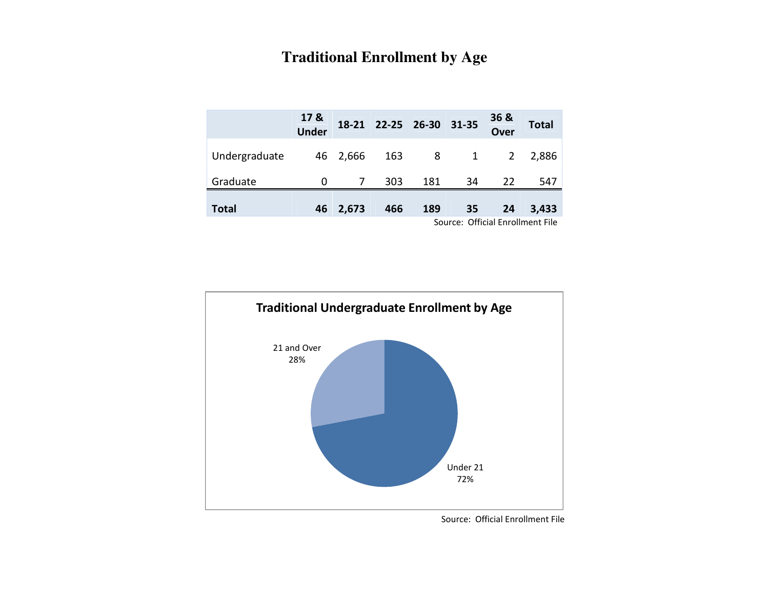#### **Traditional Enrollment by Age**

|               | 17 &<br>Under |                | 18-21 22-25 26-30 31-35 |     |     | <b>36 &amp;</b><br>Over | <b>Total</b>                     |
|---------------|---------------|----------------|-------------------------|-----|-----|-------------------------|----------------------------------|
| Undergraduate |               | 46 2,666       | 163                     |     | 8 1 | $\overline{2}$          | 2,886                            |
| Graduate      | 0             | $\overline{7}$ | 303                     | 181 | 34  | 22                      | 547                              |
| <b>Total</b>  | 46            | 2,673          | 466                     | 189 | 35  | 24                      | 3,433                            |
|               |               |                |                         |     |     |                         | Source: Official Enrollment File |

Under 2172%21 and Over28%Traditional Undergraduate Enrollment by Age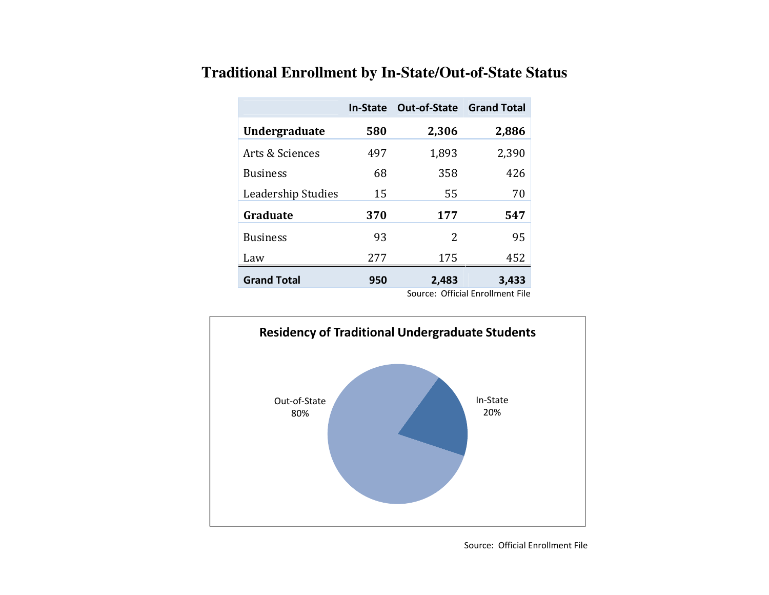|                      | <b>In-State</b> | <b>Out-of-State Grand Total</b> |       |
|----------------------|-----------------|---------------------------------|-------|
| <b>Undergraduate</b> | 580             | 2,306                           | 2,886 |
| Arts & Sciences      | 497             | 1,893                           | 2,390 |
| <b>Business</b>      | 68              | 358                             | 426   |
| Leadership Studies   | 15              | 55                              | 70    |
| Graduate             | 370             | 177                             | 547   |
| <b>Business</b>      | 93              | 2                               | 95    |
| Law                  | 277             | 175                             | 452   |
| <b>Grand Total</b>   | 950             | 2,483                           | 3,433 |

# **Traditional Enrollment by In-State/Out-of-State Status**

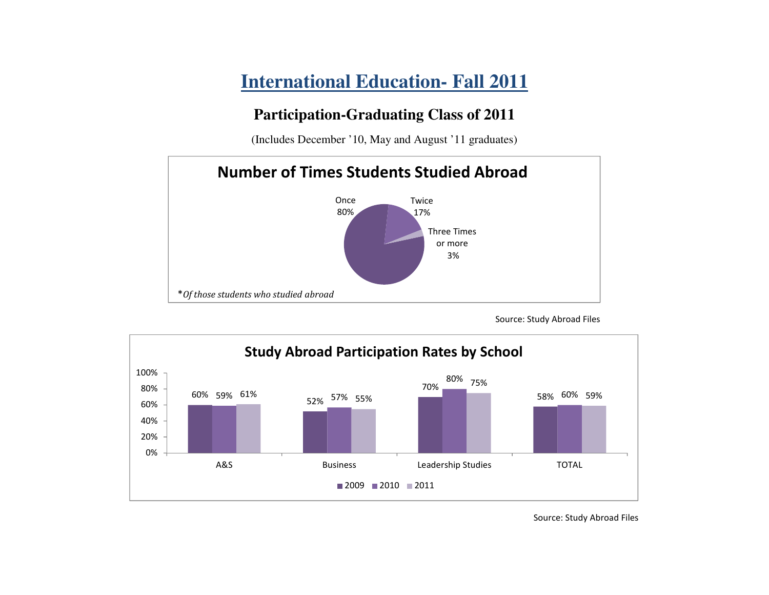# **International Education- Fall 2011**

### **Participation-Graduating Class of 2011**

(Includes December '10, May and August '11 graduates)



Source: Study Abroad Files

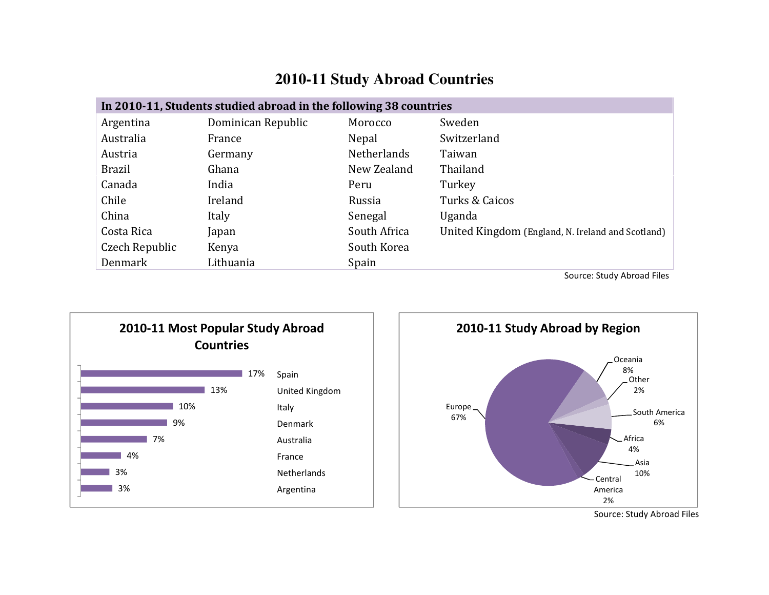# **2010-11 Study Abroad Countries**

| In 2010-11, Students studied abroad in the following 38 countries |                    |                    |                                                   |  |  |  |
|-------------------------------------------------------------------|--------------------|--------------------|---------------------------------------------------|--|--|--|
| Argentina                                                         | Dominican Republic | Morocco            | Sweden                                            |  |  |  |
| Australia                                                         | France             | Nepal              | Switzerland                                       |  |  |  |
| Austria                                                           | Germany            | <b>Netherlands</b> | Taiwan                                            |  |  |  |
| <b>Brazil</b>                                                     | Ghana              | New Zealand        | Thailand                                          |  |  |  |
| Canada                                                            | India              | Peru               | Turkey                                            |  |  |  |
| Chile                                                             | Ireland            | Russia             | Turks & Caicos                                    |  |  |  |
| China                                                             | Italy              | Senegal            | Uganda                                            |  |  |  |
| Costa Rica                                                        | Japan              | South Africa       | United Kingdom (England, N. Ireland and Scotland) |  |  |  |
| Czech Republic                                                    | Kenya              | South Korea        |                                                   |  |  |  |
| Denmark                                                           | Lithuania          | Spain              |                                                   |  |  |  |





Source: Study Abroad Files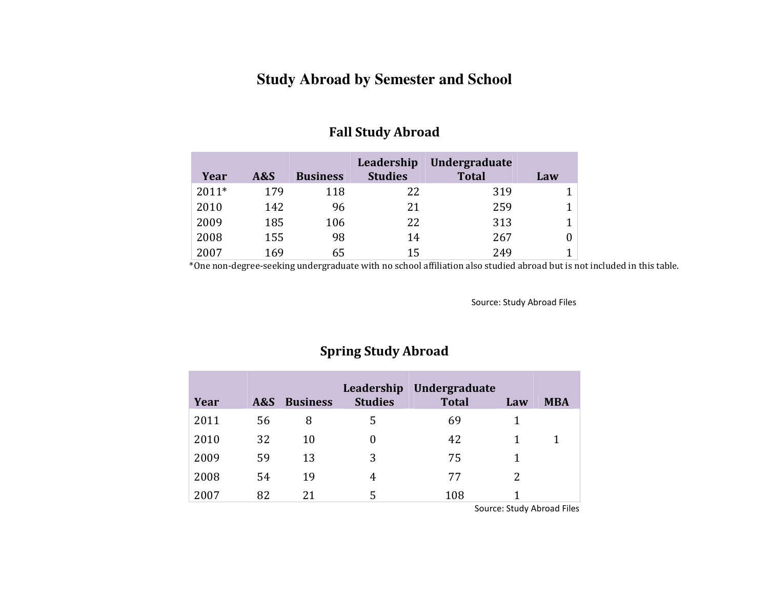#### **Study Abroad by Semester and School**

|         |     |                 | Leadership     | Undergraduate |     |
|---------|-----|-----------------|----------------|---------------|-----|
| Year    | A&S | <b>Business</b> | <b>Studies</b> | <b>Total</b>  | Law |
| $2011*$ | 179 | 118             | 22             | 319           |     |
| 2010    | 142 | 96              | 21             | 259           |     |
| 2009    | 185 | 106             | 22             | 313           |     |
| 2008    | 155 | 98              | 14             | 267           | 0   |
| 2007    | 169 | 65              | 15             | 249           |     |

#### Fall Study Abroad

 $\begin{array}{|l|l|}\n\hline\n 2007 & 169 & 65 & 15 & 249 & 1 \\
\hline\n\end{array}$  \*One non-degree-seeking undergraduate with no school affiliation also studied abroad but is not included in this table.

Source: Study Abroad Files

#### Spring Study Abroad

| Year | A&S | <b>Business</b> | Leadership<br><b>Studies</b> | Undergraduate<br><b>Total</b> | Law | <b>MBA</b> |
|------|-----|-----------------|------------------------------|-------------------------------|-----|------------|
| 2011 | 56  | 8               | 5                            | 69                            |     |            |
| 2010 | 32  | 10              | 0                            | 42                            |     |            |
| 2009 | 59  | 13              | 3                            | 75                            |     |            |
| 2008 | 54  | 19              | 4                            | 77                            | 2   |            |
| 2007 | 82  | 21              | 5                            | 108                           |     |            |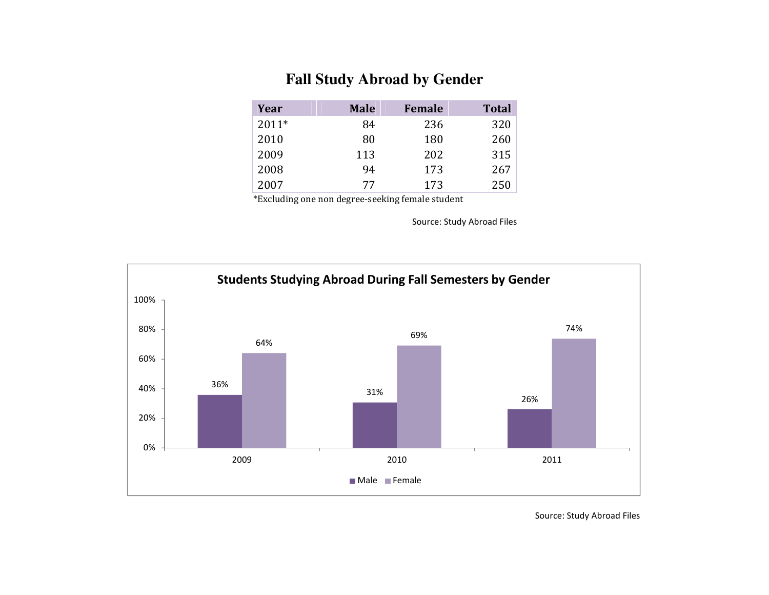#### **Fall Study Abroad by Gender**

| Year    | <b>Male</b> | <b>Female</b> | <b>Total</b> |
|---------|-------------|---------------|--------------|
| $2011*$ | 84          | 236           | 320          |
| 2010    | 80          | 180           | 260          |
| 2009    | 113         | 202           | 315          |
| 2008    | 94          | 173           | 267          |
| 2007    | 77          | 173           | 250          |

\*Excluding one non degree-seeking female student

Source: Study Abroad Files

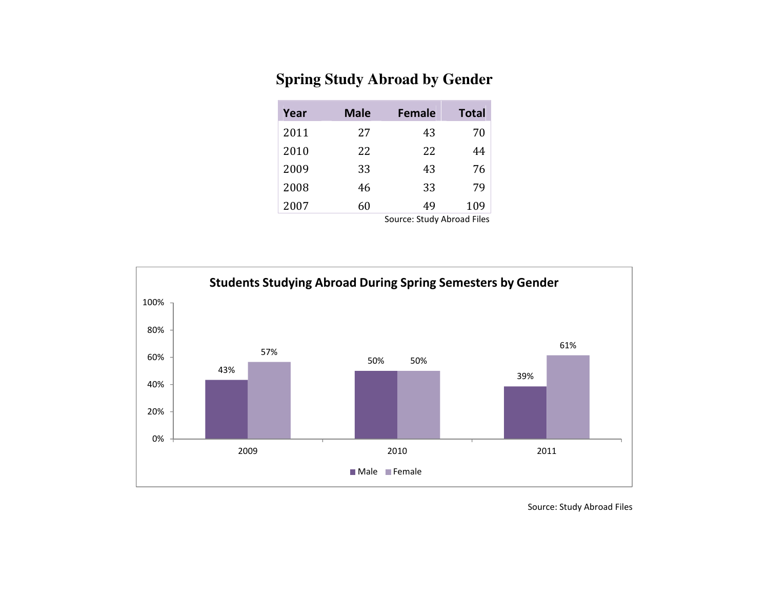#### **Spring Study Abroad by Gender**

| Year | <b>Male</b> | <b>Female</b>              | <b>Total</b> |
|------|-------------|----------------------------|--------------|
| 2011 | 27          | 43                         | 70           |
| 2010 | 22          | 22                         | 44           |
| 2009 | 33          | 43                         | 76           |
| 2008 | 46          | 33                         | 79           |
| 2007 | 60          | 49                         | 109          |
|      |             | Source: Study Abroad Files |              |

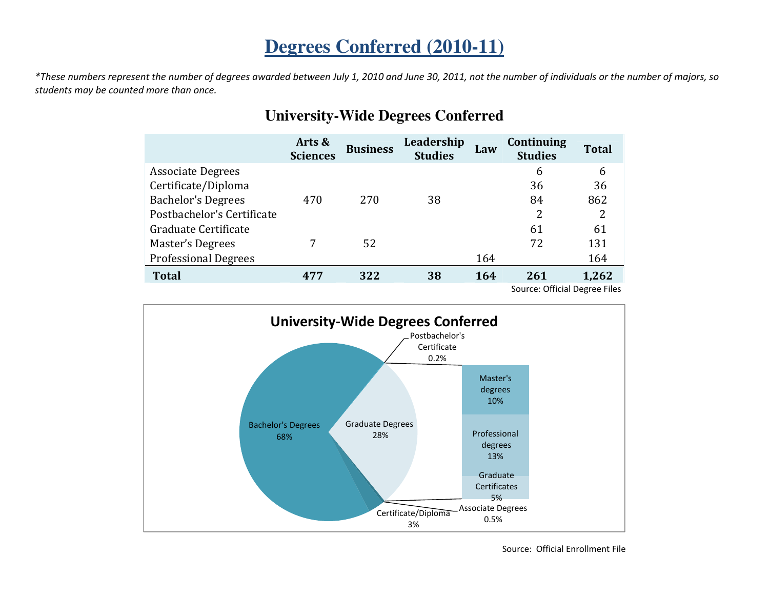# **Degrees Conferred (2010-11)**

\*These numbers represent the number of degrees awarded between July 1, 2010 and June 30, 2011, not the number of individuals or the number of majors, so students may be counted more than once.

|                             | Arts &<br><b>Sciences</b> | <b>Business</b> | Leadership<br><b>Studies</b> | Law | Continuing<br><b>Studies</b>  | <b>Total</b> |
|-----------------------------|---------------------------|-----------------|------------------------------|-----|-------------------------------|--------------|
| <b>Associate Degrees</b>    |                           |                 |                              |     | 6                             | 6            |
| Certificate/Diploma         |                           |                 |                              |     | 36                            | 36           |
| <b>Bachelor's Degrees</b>   | 470                       | 270             | 38                           |     | 84                            | 862          |
| Postbachelor's Certificate  |                           |                 |                              |     | 2                             | 2            |
| Graduate Certificate        |                           |                 |                              |     | 61                            | 61           |
| Master's Degrees            |                           | 52              |                              |     | 72                            | 131          |
| <b>Professional Degrees</b> |                           |                 |                              | 164 |                               | 164          |
| <b>Total</b>                | 477                       | 322             | 38                           | 164 | 261                           | 1,262        |
|                             |                           |                 |                              |     | Source: Official Degree Files |              |

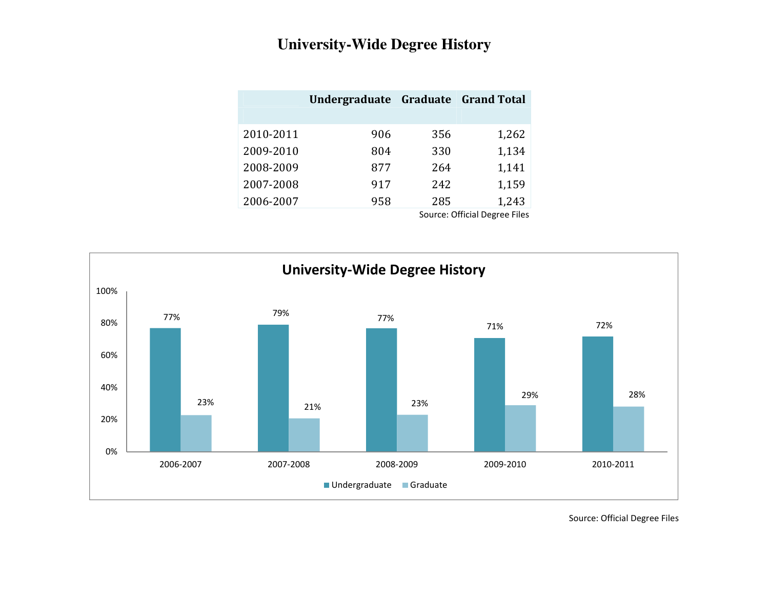### **University-Wide Degree History**

|           | Undergraduate Graduate Grand Total |     |       |
|-----------|------------------------------------|-----|-------|
|           |                                    |     |       |
| 2010-2011 | 906                                | 356 | 1,262 |
| 2009-2010 | 804                                | 330 | 1,134 |
| 2008-2009 | 877                                | 264 | 1,141 |
| 2007-2008 | 917                                | 242 | 1,159 |
| 2006-2007 | 958                                | 285 | 1,243 |

Source: Official Degree Files

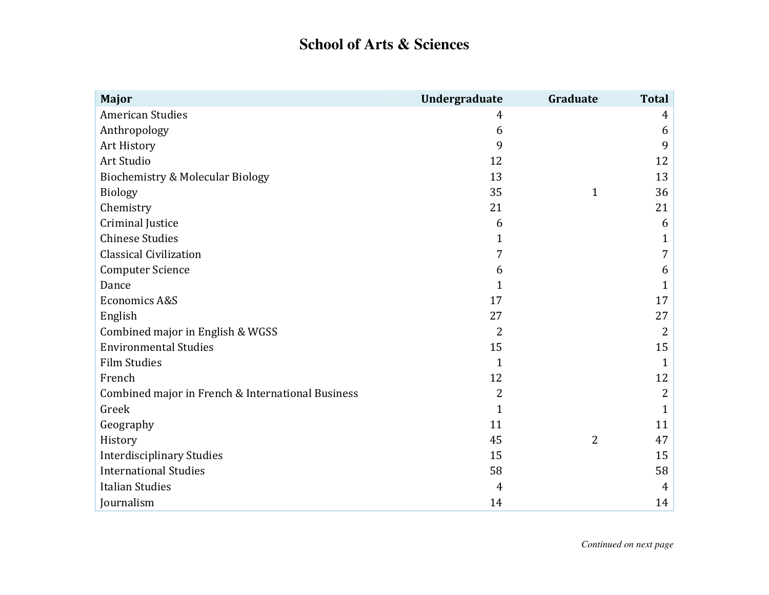# **School of Arts & Sciences**

| <b>Major</b>                                      | Undergraduate  | Graduate     | <b>Total</b>   |
|---------------------------------------------------|----------------|--------------|----------------|
| <b>American Studies</b>                           | 4              |              | 4              |
| Anthropology                                      | 6              |              | 6              |
| Art History                                       | 9              |              | 9              |
| Art Studio                                        | 12             |              | 12             |
| <b>Biochemistry &amp; Molecular Biology</b>       | 13             |              | 13             |
| <b>Biology</b>                                    | 35             | $\mathbf{1}$ | 36             |
| Chemistry                                         | 21             |              | 21             |
| <b>Criminal Justice</b>                           | 6              |              | 6              |
| <b>Chinese Studies</b>                            | $\mathbf{1}$   |              | $\mathbf{1}$   |
| <b>Classical Civilization</b>                     | 7              |              | 7              |
| <b>Computer Science</b>                           | 6              |              | 6              |
| Dance                                             | $\mathbf 1$    |              | $\mathbf{1}$   |
| <b>Economics A&amp;S</b>                          | 17             |              | 17             |
| English                                           | 27             |              | 27             |
| Combined major in English & WGSS                  | $\overline{2}$ |              | 2              |
| <b>Environmental Studies</b>                      | 15             |              | 15             |
| <b>Film Studies</b>                               | $\mathbf{1}$   |              | $\mathbf{1}$   |
| French                                            | 12             |              | 12             |
| Combined major in French & International Business | $\overline{2}$ |              | $\overline{2}$ |
| Greek                                             | $\mathbf{1}$   |              | $\mathbf{1}$   |
| Geography                                         | 11             |              | 11             |
| History                                           | 45             | 2            | 47             |
| <b>Interdisciplinary Studies</b>                  | 15             |              | 15             |
| <b>International Studies</b>                      | 58             |              | 58             |
| <b>Italian Studies</b>                            | 4              |              | 4              |
| Journalism                                        | 14             |              | 14             |

*Continued on next page*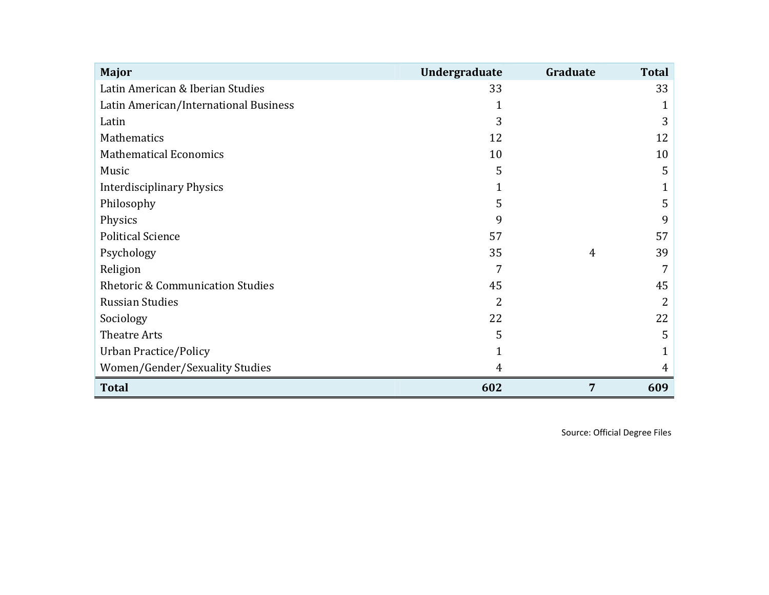| Major                                       | Undergraduate | Graduate | <b>Total</b> |
|---------------------------------------------|---------------|----------|--------------|
| Latin American & Iberian Studies            | 33            |          | 33           |
| Latin American/International Business       | 1             |          |              |
| Latin                                       | 3             |          | 3            |
| Mathematics                                 | 12            |          | 12           |
| <b>Mathematical Economics</b>               | 10            |          | 10           |
| Music                                       | 5             |          | 5            |
| <b>Interdisciplinary Physics</b>            |               |          |              |
| Philosophy                                  | 5             |          | 5            |
| Physics                                     | 9             |          | 9            |
| <b>Political Science</b>                    | 57            |          | 57           |
| Psychology                                  | 35            | 4        | 39           |
| Religion                                    | 7             |          |              |
| <b>Rhetoric &amp; Communication Studies</b> | 45            |          | 45           |
| <b>Russian Studies</b>                      | 2             |          | 2            |
| Sociology                                   | 22            |          | 22           |
| <b>Theatre Arts</b>                         | 5             |          | 5            |
| <b>Urban Practice/Policy</b>                |               |          |              |
| Women/Gender/Sexuality Studies              | 4             |          | 4            |
| <b>Total</b>                                | 602           | 7        | 609          |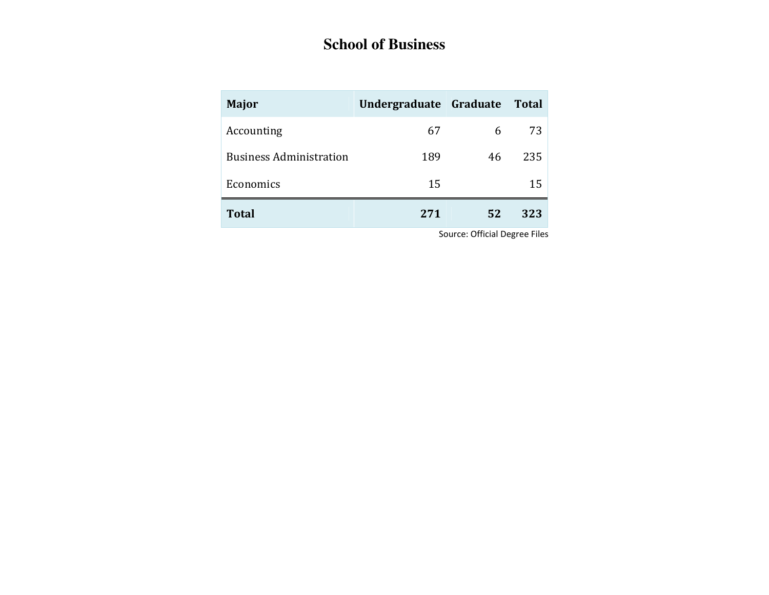# **School of Business**

| <b>Major</b>                   | Undergraduate Graduate |    | Total |
|--------------------------------|------------------------|----|-------|
| Accounting                     | 67                     | 6  | 73    |
| <b>Business Administration</b> | 189                    | 46 | 235   |
| Economics                      | 15                     |    | 15    |
| <b>Total</b>                   | 271                    | 52 | 323   |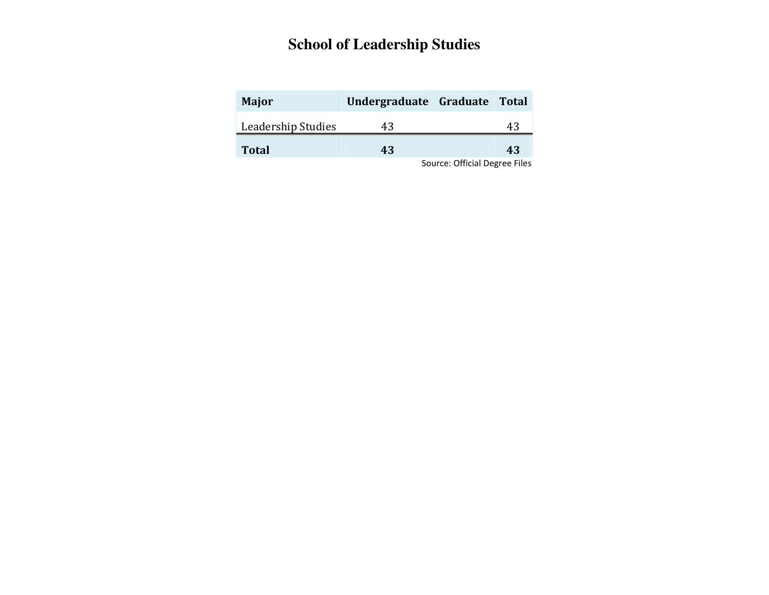### **School of Leadership Studies**

| Major              | Undergraduate Graduate Total |    |
|--------------------|------------------------------|----|
| Leadership Studies | 43                           | 43 |
| <b>Total</b>       | 43                           | 43 |
|                    |                              |    |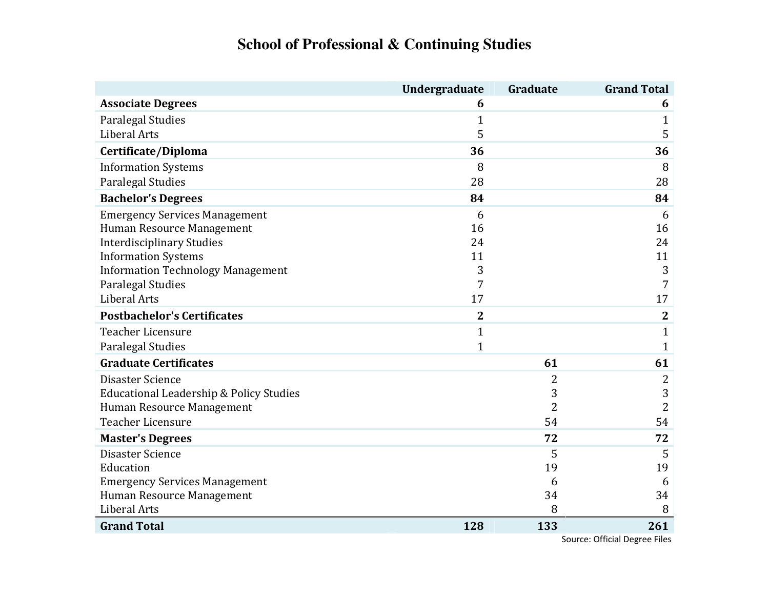# **School of Professional & Continuing Studies**

| <b>Associate Degrees</b><br>6<br>Paralegal Studies<br>1<br><b>Liberal Arts</b><br>5 | Undergraduate<br>Graduate | <b>Grand Total</b>                   |
|-------------------------------------------------------------------------------------|---------------------------|--------------------------------------|
|                                                                                     |                           | 6                                    |
|                                                                                     |                           | $\mathbf{1}$                         |
|                                                                                     |                           | 5                                    |
| Certificate/Diploma<br>36                                                           |                           | 36                                   |
| <b>Information Systems</b><br>8                                                     |                           | 8                                    |
| Paralegal Studies<br>28                                                             |                           | 28                                   |
| <b>Bachelor's Degrees</b><br>84                                                     |                           | 84                                   |
| <b>Emergency Services Management</b><br>6                                           |                           | 6                                    |
| Human Resource Management<br>16                                                     |                           | 16                                   |
| <b>Interdisciplinary Studies</b><br>24                                              |                           | 24                                   |
| <b>Information Systems</b><br>11                                                    |                           | 11                                   |
| <b>Information Technology Management</b><br>3                                       |                           | 3                                    |
| <b>Paralegal Studies</b><br>7                                                       |                           | 7                                    |
| <b>Liberal Arts</b><br>17                                                           |                           | 17                                   |
| <b>Postbachelor's Certificates</b><br>$\overline{2}$                                |                           | $\mathbf{2}$                         |
| <b>Teacher Licensure</b><br>$\mathbf{1}$                                            |                           | $\mathbf{1}$                         |
| <b>Paralegal Studies</b><br>$\mathbf 1$                                             |                           | 1                                    |
| <b>Graduate Certificates</b>                                                        | 61                        | 61                                   |
| Disaster Science                                                                    | 2                         | 2                                    |
| Educational Leadership & Policy Studies                                             | 3                         | 3                                    |
| Human Resource Management                                                           | $\overline{2}$            | $\overline{2}$                       |
| <b>Teacher Licensure</b>                                                            | 54                        | 54                                   |
| <b>Master's Degrees</b>                                                             | 72                        | 72                                   |
| Disaster Science                                                                    | 5                         | 5                                    |
| Education                                                                           | 19                        | 19                                   |
| <b>Emergency Services Management</b>                                                | 6                         | 6                                    |
| Human Resource Management                                                           | 34                        | 34                                   |
| <b>Liberal Arts</b>                                                                 | 8                         | 8                                    |
| <b>Grand Total</b><br>128                                                           | 133                       | 261<br>Source: Official Degree Files |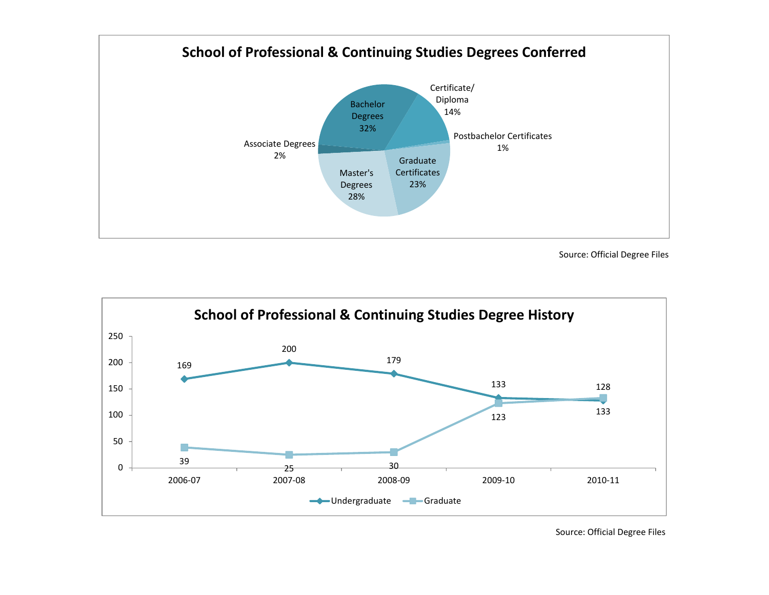

Source: Official Degree Files

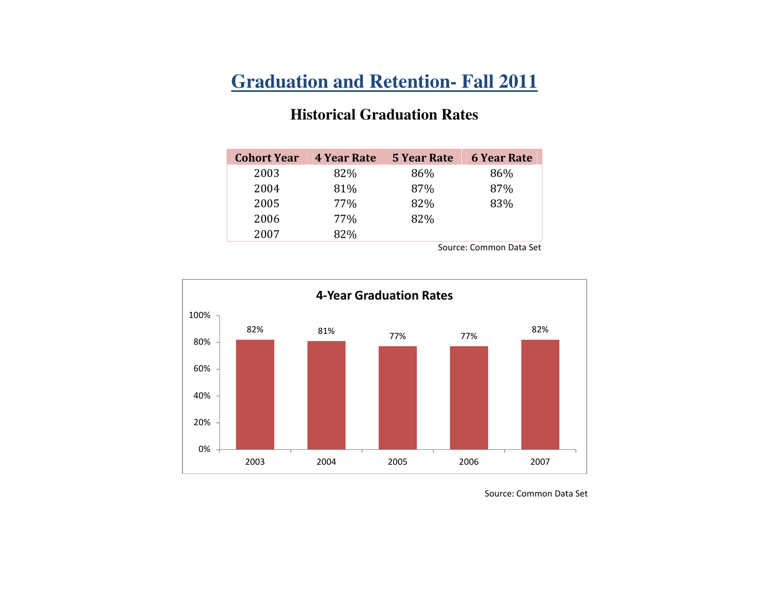# **Graduation and Retention- Fall 2011**

#### **Historical Graduation Rates**

| <b>Cohort Year</b> | <b>4 Year Rate</b> | <b>5 Year Rate</b> | <b>6 Year Rate</b> |
|--------------------|--------------------|--------------------|--------------------|
| 2003               | 82%                | 86%                | 86%                |
| 2004               | 81%                | 87%                | 87%                |
| 2005               | 77%                | 82%                | 83%                |
| 2006               | 77%                | 82%                |                    |
| 2007               | 82%                |                    |                    |
|                    |                    |                    |                    |

Source: Common Data Set



Source: Common Data Set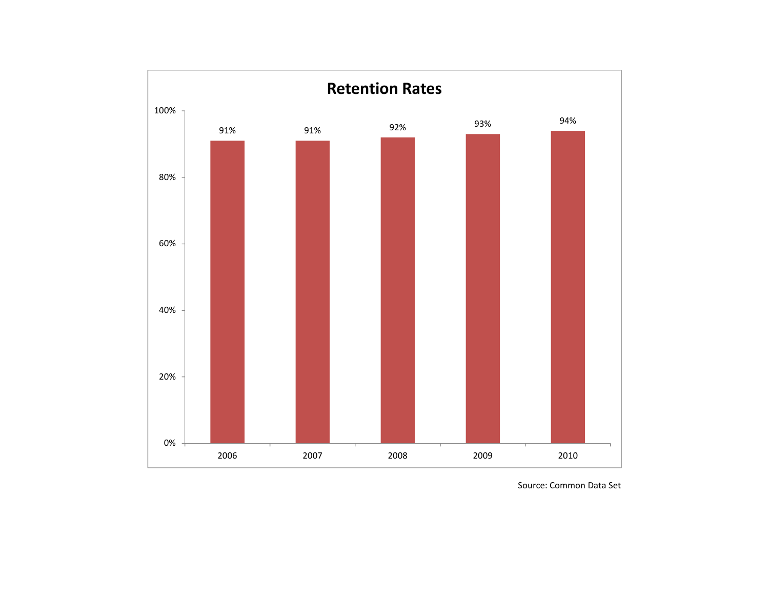

Source: Common Data Set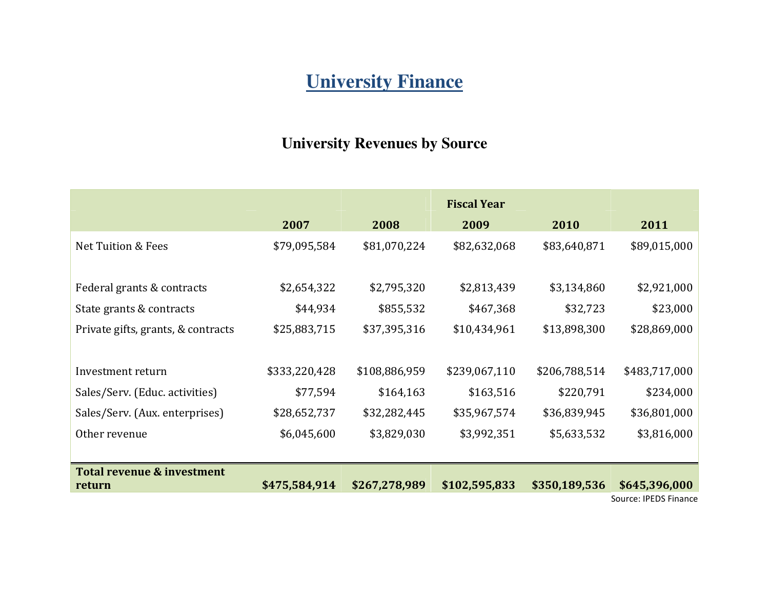# **University Finance**

### **University Revenues by Source**

|                                    | 2007          | 2008          | 2009          | 2010          | 2011                  |
|------------------------------------|---------------|---------------|---------------|---------------|-----------------------|
| <b>Net Tuition &amp; Fees</b>      | \$79,095,584  | \$81,070,224  | \$82,632,068  | \$83,640,871  | \$89,015,000          |
| Federal grants & contracts         | \$2,654,322   | \$2,795,320   | \$2,813,439   | \$3,134,860   | \$2,921,000           |
| State grants & contracts           | \$44,934      | \$855,532     | \$467,368     | \$32,723      | \$23,000              |
| Private gifts, grants, & contracts | \$25,883,715  | \$37,395,316  | \$10,434,961  | \$13,898,300  | \$28,869,000          |
| Investment return                  | \$333,220,428 | \$108,886,959 | \$239,067,110 | \$206,788,514 | \$483,717,000         |
| Sales/Serv. (Educ. activities)     | \$77,594      | \$164,163     | \$163,516     | \$220,791     | \$234,000             |
| Sales/Serv. (Aux. enterprises)     | \$28,652,737  | \$32,282,445  | \$35,967,574  | \$36,839,945  | \$36,801,000          |
| Other revenue                      | \$6,045,600   | \$3,829,030   | \$3,992,351   | \$5,633,532   | \$3,816,000           |
| Total revenue & investment         |               |               |               |               |                       |
| return                             | \$475,584,914 | \$267,278,989 | \$102,595,833 | \$350,189,536 | \$645,396,000         |
|                                    |               |               |               |               | Source: IPEDS Finance |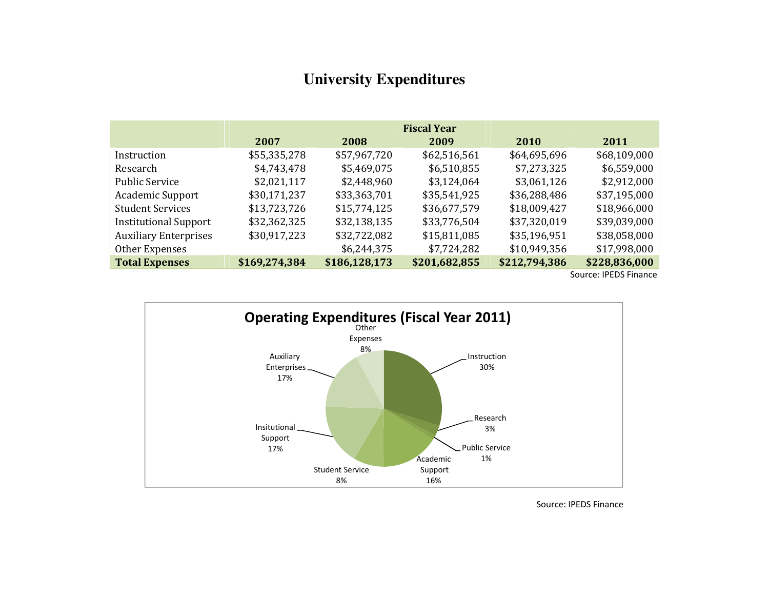### **University Expenditures**

|                              |               |               | <b>Fiscal Year</b> |               |               |
|------------------------------|---------------|---------------|--------------------|---------------|---------------|
|                              | 2007          | 2008          | 2009               | 2010          | 2011          |
| Instruction                  | \$55,335,278  | \$57,967,720  | \$62,516,561       | \$64,695,696  | \$68,109,000  |
| Research                     | \$4,743,478   | \$5,469,075   | \$6,510,855        | \$7,273,325   | \$6,559,000   |
| <b>Public Service</b>        | \$2,021,117   | \$2,448,960   | \$3,124,064        | \$3,061,126   | \$2,912,000   |
| <b>Academic Support</b>      | \$30,171,237  | \$33,363,701  | \$35,541,925       | \$36,288,486  | \$37,195,000  |
| <b>Student Services</b>      | \$13,723,726  | \$15,774,125  | \$36,677,579       | \$18,009,427  | \$18,966,000  |
| <b>Institutional Support</b> | \$32,362,325  | \$32,138,135  | \$33,776,504       | \$37,320,019  | \$39,039,000  |
| <b>Auxiliary Enterprises</b> | \$30,917,223  | \$32,722,082  | \$15,811,085       | \$35,196,951  | \$38,058,000  |
| Other Expenses               |               | \$6,244,375   | \$7,724,282        | \$10,949,356  | \$17,998,000  |
| <b>Total Expenses</b>        | \$169,274,384 | \$186,128,173 | \$201,682,855      | \$212,794,386 | \$228,836,000 |

Source: IPEDS Finance



Source: IPEDS Finance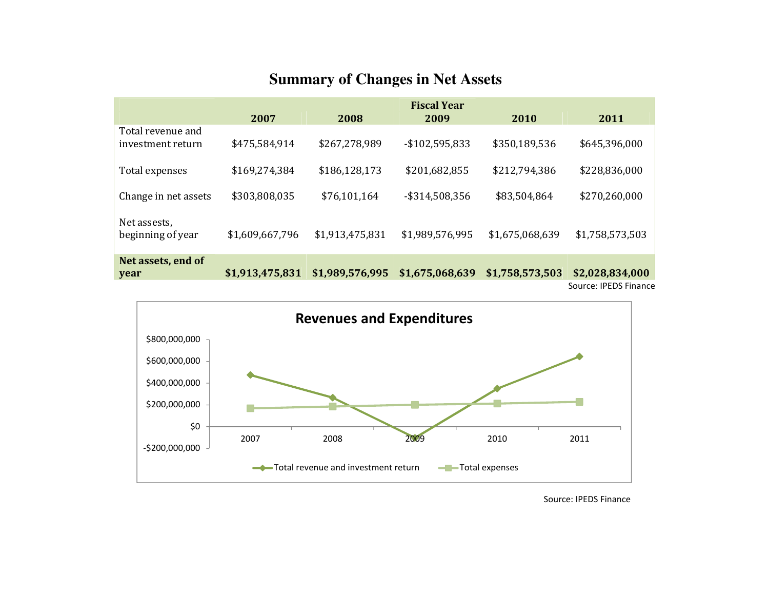### **Summary of Changes in Net Assets**

|                                        |                 |                 | <b>Fiscal Year</b> |                 |                 |  |
|----------------------------------------|-----------------|-----------------|--------------------|-----------------|-----------------|--|
|                                        | 2007            | 2008            | 2009               | 2010            | 2011            |  |
| Total revenue and<br>investment return | \$475,584,914   | \$267,278,989   | -\$102,595,833     | \$350,189,536   | \$645,396,000   |  |
| Total expenses                         | \$169,274,384   | \$186,128,173   | \$201,682,855      | \$212,794,386   | \$228,836,000   |  |
| Change in net assets                   | \$303,808,035   | \$76,101,164    | -\$314,508,356     | \$83,504,864    | \$270,260,000   |  |
| Net assests,<br>beginning of year      | \$1,609,667,796 | \$1,913,475,831 | \$1,989,576,995    | \$1,675,068,639 | \$1,758,573,503 |  |
| Net assets, end of<br>year             | \$1,913,475,831 | \$1,989,576,995 | \$1,675,068,639    | \$1,758,573,503 | \$2,028,834,000 |  |
| Source: IPEDS Finance                  |                 |                 |                    |                 |                 |  |



Source: IPEDS Finance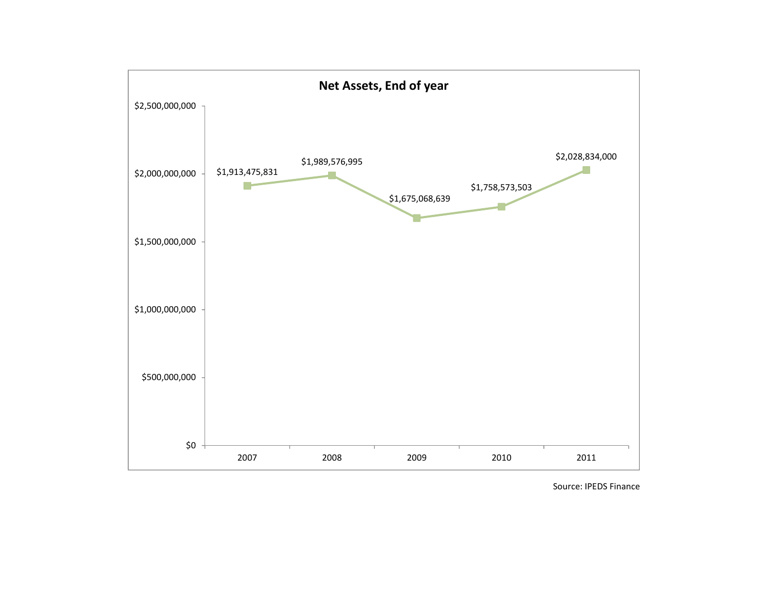

Source: IPEDS Finance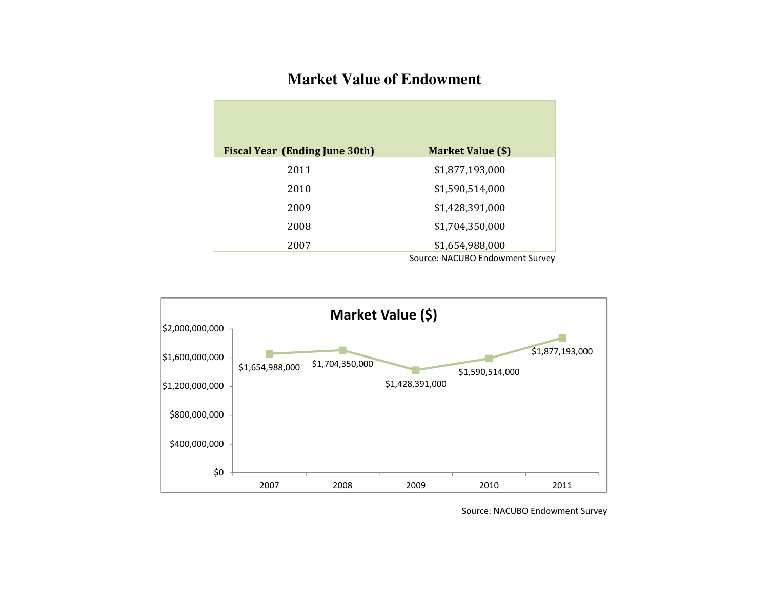# **Market Value of Endowment**

| <b>Fiscal Year (Ending June 30th)</b> | <b>Market Value (\$)</b>        |
|---------------------------------------|---------------------------------|
| 2011                                  | \$1,877,193,000                 |
| 2010                                  | \$1,590,514,000                 |
| 2009                                  | \$1,428,391,000                 |
| 2008                                  | \$1,704,350,000                 |
| 2007                                  | \$1,654,988,000                 |
|                                       | Source: NACUBO Endowment Survey |



Source: NACUBO Endowment Survey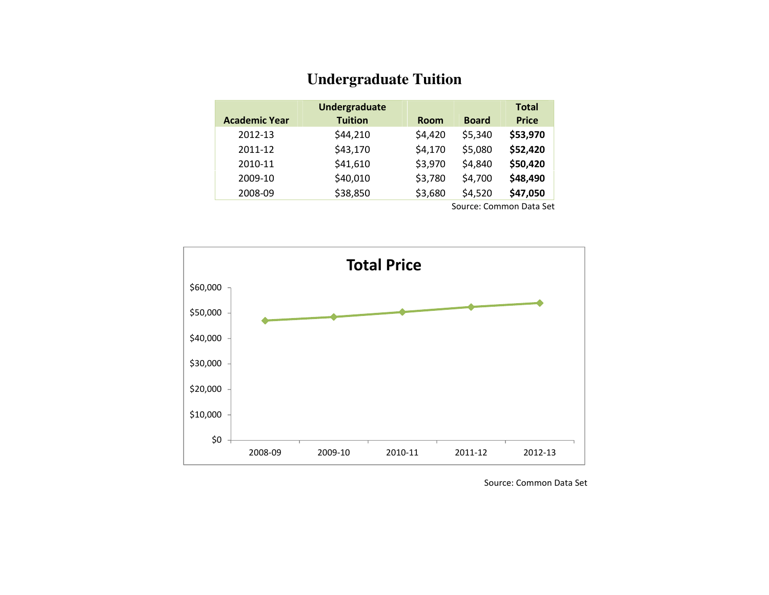#### **Undergraduate Tuition**

| <b>Academic Year</b> | Undergraduate<br><b>Tuition</b> | <b>Room</b> | <b>Board</b> | <b>Total</b><br><b>Price</b> |
|----------------------|---------------------------------|-------------|--------------|------------------------------|
| 2012-13              | \$44,210                        | \$4,420     | \$5,340      | \$53,970                     |
| 2011-12              | \$43,170                        | \$4,170     | \$5,080      | \$52,420                     |
| 2010-11              | \$41,610                        | \$3,970     | \$4,840      | \$50,420                     |
| 2009-10              | \$40,010                        | \$3,780     | \$4,700      | \$48,490                     |
| 2008-09              | \$38,850                        | \$3,680     | \$4,520      | \$47,050                     |

Source: Common Data Set



Source: Common Data Set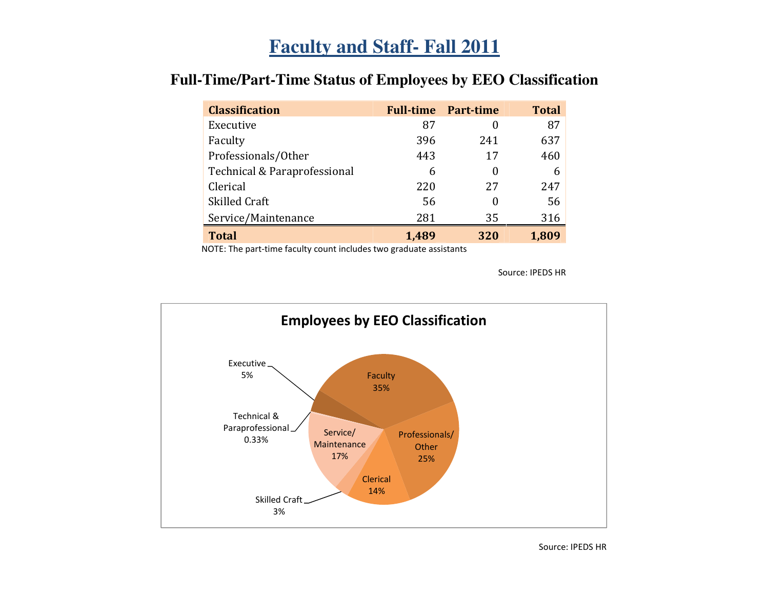# **Faculty and Staff- Fall 2011**

| <b>Classification</b>        |       | <b>Full-time Part-time</b> | <b>Total</b> |
|------------------------------|-------|----------------------------|--------------|
| Executive                    | 87    |                            | 87           |
| Faculty                      | 396   | 241                        | 637          |
| Professionals/Other          | 443   | 17                         | 460          |
| Technical & Paraprofessional | 6     |                            | 6            |
| Clerical                     | 220   | 27                         | 247          |
| Skilled Craft                | 56    |                            | 56           |
| Service/Maintenance          | 281   | 35                         | 316          |
| <b>Total</b>                 | 1,489 | 320                        | 1,809        |

# **Full-Time/Part-Time Status of Employees by EEO Classification**

NOTE: The part-time faculty count includes two graduate assistants

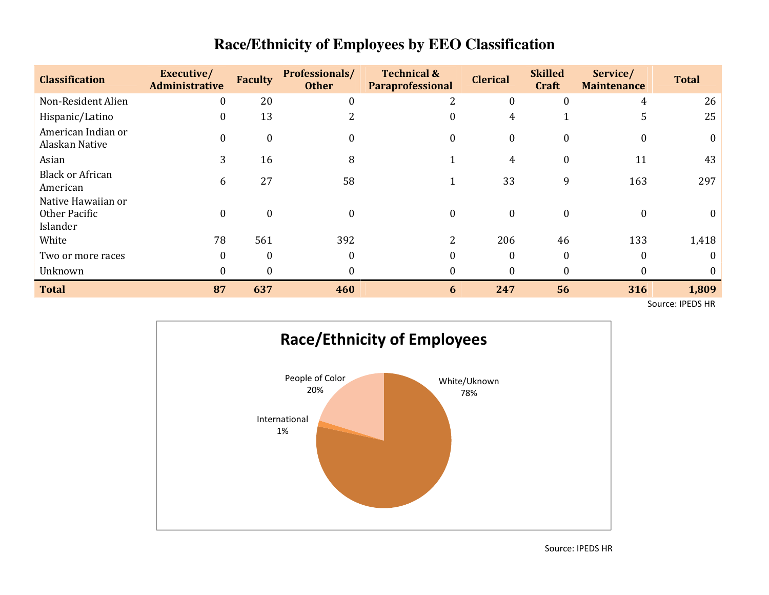| <b>Classification</b>                           | Executive/<br><b>Administrative</b> | <b>Faculty</b>   | Professionals/<br><b>Other</b> | <b>Technical &amp;</b><br><b>Paraprofessional</b> | <b>Clerical</b>  | <b>Skilled</b><br><b>Craft</b> | Service/<br><b>Maintenance</b> | <b>Total</b> |
|-------------------------------------------------|-------------------------------------|------------------|--------------------------------|---------------------------------------------------|------------------|--------------------------------|--------------------------------|--------------|
| Non-Resident Alien                              | $\boldsymbol{0}$                    | 20               | $\mathbf{0}$                   |                                                   | 0                |                                | 4                              | 26           |
| Hispanic/Latino                                 | $\boldsymbol{0}$                    | 13               |                                | 0                                                 | 4                |                                |                                | 25           |
| American Indian or<br>Alaskan Native            | $\boldsymbol{0}$                    | $\overline{0}$   | 0                              | $\mathbf{0}$                                      | $\boldsymbol{0}$ |                                | $\theta$                       |              |
| Asian                                           | 3                                   | 16               | 8                              |                                                   | 4                |                                | 11                             | 43           |
| <b>Black or African</b><br>American             | 6                                   | 27               | 58                             |                                                   | 33               | 9                              | 163                            | 297          |
| Native Hawaiian or<br>Other Pacific<br>Islander | $\boldsymbol{0}$                    | $\boldsymbol{0}$ | $\boldsymbol{0}$               | $\boldsymbol{0}$                                  | $\boldsymbol{0}$ | $\bf{0}$                       | $\theta$                       |              |
| White                                           | 78                                  | 561              | 392                            | 2                                                 | 206              | 46                             | 133                            | 1,418        |
| Two or more races                               | $\mathbf{0}$                        | $\Omega$         | $\theta$                       | 0                                                 | $\Omega$         |                                | $\theta$                       |              |
| Unknown                                         | 0                                   |                  | 0                              |                                                   |                  |                                |                                |              |
| <b>Total</b>                                    | 87                                  | 637              | 460                            | 6                                                 | 247              | 56                             | 316                            | 1,809        |

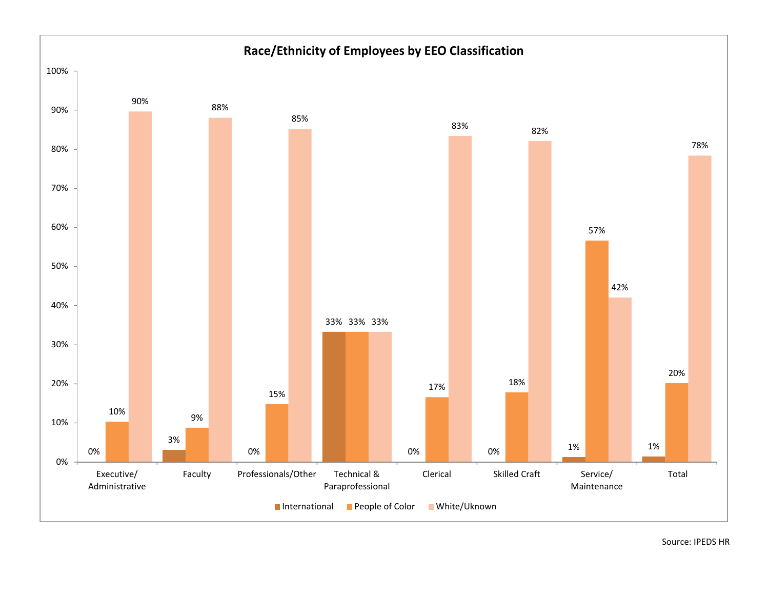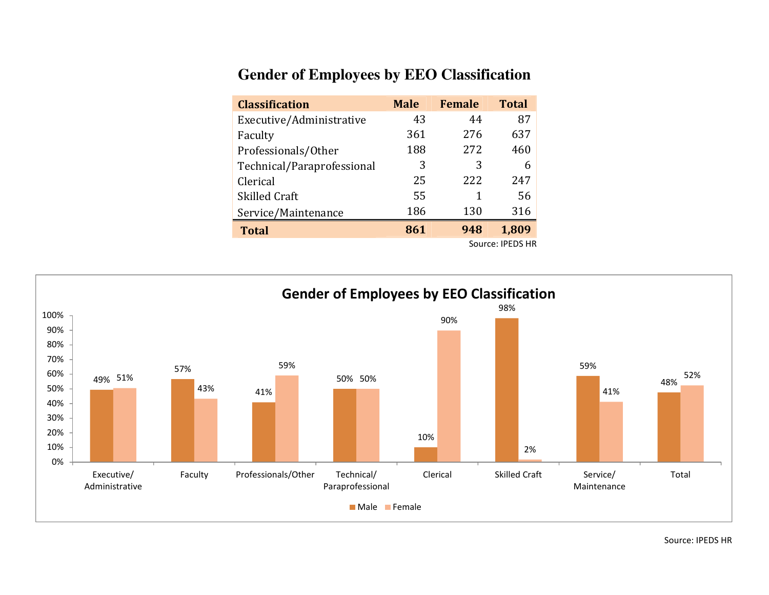## **Gender of Employees by EEO Classification**

| <b>Classification</b>      | <b>Male</b> | <b>Female</b> | <b>Total</b>     |
|----------------------------|-------------|---------------|------------------|
| Executive/Administrative   | 43          | 44            | 87               |
| Faculty                    | 361         | 276           | 637              |
| Professionals/Other        | 188         | 272           | 460              |
| Technical/Paraprofessional | 3           | 3             | 6                |
| Clerical                   | 25          | 222           | 247              |
| <b>Skilled Craft</b>       | 55          | 1             | 56               |
| Service/Maintenance        | 186         | 130           | 316              |
| <b>Total</b>               | 861         | 948           | 1,809            |
|                            |             |               | Source: IPEDS HR |

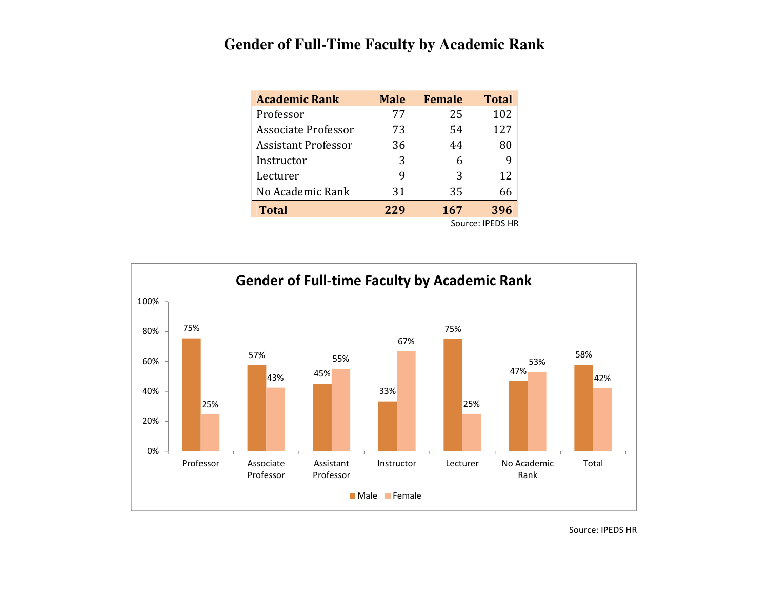## **Gender of Full-Time Faculty by Academic Rank**

| <b>Academic Rank</b>       | <b>Male</b> | <b>Female</b> | <b>Total</b>     |
|----------------------------|-------------|---------------|------------------|
| Professor                  | 77          | 25            | 102              |
| <b>Associate Professor</b> | 73          | 54            | 127              |
| <b>Assistant Professor</b> | 36          | 44            | 80               |
| Instructor                 | 3           | 6             | 9                |
| Lecturer                   | 9           | 3             | 12               |
| No Academic Rank           | 31          | 35            | 66               |
| <b>Total</b>               | 229         | 167           | 396              |
|                            |             |               | Source: IPEDS HR |

75%57%45%33%75%47%58%25%43%55%67%25%53%42%0%20%40%60%80%100%Professor Associate ProfessorAssistant ProfessorInstructor Lecturer No Academic RankTotalGender of Full-time Faculty by Academic RankMale Female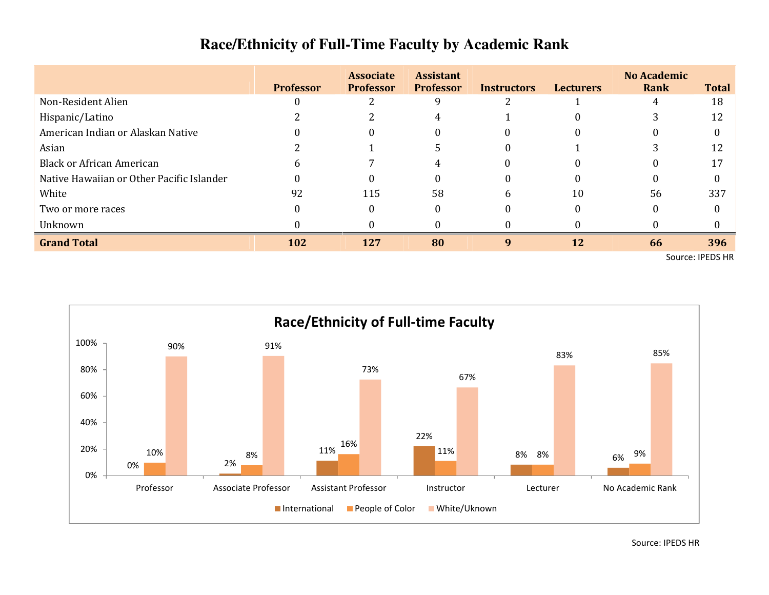|                                           | <b>Professor</b> | <b>Associate</b><br><b>Professor</b> | <b>Assistant</b><br><b>Professor</b> | <b>Instructors</b> | <b>Lecturers</b> | <b>No Academic</b><br><b>Rank</b> | <b>Total</b> |
|-------------------------------------------|------------------|--------------------------------------|--------------------------------------|--------------------|------------------|-----------------------------------|--------------|
| Non-Resident Alien                        |                  |                                      |                                      |                    |                  | 4                                 | 18           |
| Hispanic/Latino                           |                  |                                      |                                      |                    |                  |                                   |              |
| American Indian or Alaskan Native         |                  |                                      |                                      |                    |                  |                                   |              |
| Asian                                     |                  |                                      |                                      |                    |                  |                                   |              |
| <b>Black or African American</b>          |                  |                                      |                                      |                    |                  | $\Omega$                          |              |
| Native Hawaiian or Other Pacific Islander |                  |                                      |                                      |                    |                  | 0                                 |              |
| White                                     | 92               | 115                                  | 58                                   | 6                  | 10               | 56                                | 337          |
| Two or more races                         |                  |                                      |                                      |                    |                  | $\Omega$                          |              |
| Unknown                                   |                  |                                      |                                      |                    |                  |                                   |              |
| <b>Grand Total</b>                        | 102              | 127                                  | 80                                   | 9                  | 12               | 66                                | 396          |

Source: IPEDS HR